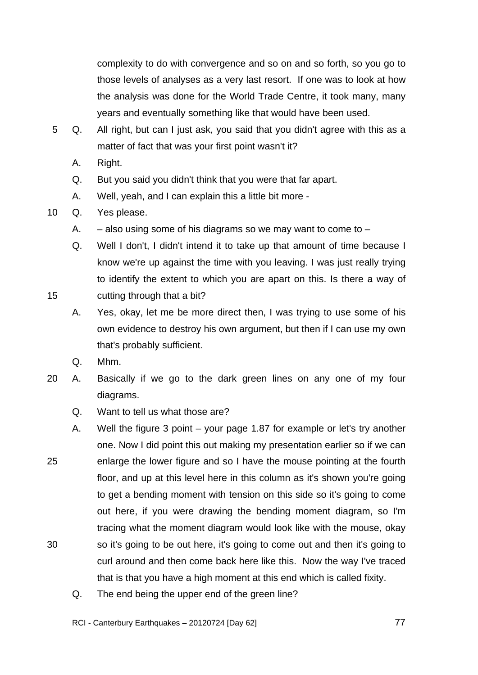complexity to do with convergence and so on and so forth, so you go to those levels of analyses as a very last resort. If one was to look at how the analysis was done for the World Trade Centre, it took many, many years and eventually something like that would have been used.

- 5 Q. All right, but can I just ask, you said that you didn't agree with this as a matter of fact that was your first point wasn't it?
	- A. Right.
	- Q. But you said you didn't think that you were that far apart.
	- A. Well, yeah, and I can explain this a little bit more -
- 10 Q. Yes please.
	- A.  $-$  also using some of his diagrams so we may want to come to  $-$
	- Q. Well I don't, I didn't intend it to take up that amount of time because I know we're up against the time with you leaving. I was just really trying to identify the extent to which you are apart on this. Is there a way of cutting through that a bit?
	- A. Yes, okay, let me be more direct then, I was trying to use some of his own evidence to destroy his own argument, but then if I can use my own that's probably sufficient.
	- Q. Mhm.

- 20 A. Basically if we go to the dark green lines on any one of my four diagrams.
	- Q. Want to tell us what those are?
- 25 30 A. Well the figure 3 point – your page 1.87 for example or let's try another one. Now I did point this out making my presentation earlier so if we can enlarge the lower figure and so I have the mouse pointing at the fourth floor, and up at this level here in this column as it's shown you're going to get a bending moment with tension on this side so it's going to come out here, if you were drawing the bending moment diagram, so I'm tracing what the moment diagram would look like with the mouse, okay so it's going to be out here, it's going to come out and then it's going to curl around and then come back here like this. Now the way I've traced that is that you have a high moment at this end which is called fixity.
	- Q. The end being the upper end of the green line?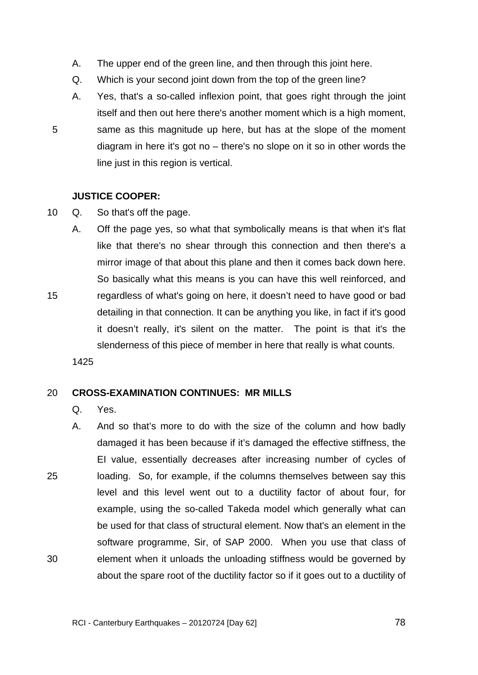- A. The upper end of the green line, and then through this joint here.
- Q. Which is your second joint down from the top of the green line?
- A. Yes, that's a so-called inflexion point, that goes right through the joint itself and then out here there's another moment which is a high moment, same as this magnitude up here, but has at the slope of the moment diagram in here it's got no – there's no slope on it so in other words the line just in this region is vertical.

# **JUSTICE COOPER:**

10 Q. So that's off the page.

A. Off the page yes, so what that symbolically means is that when it's flat like that there's no shear through this connection and then there's a mirror image of that about this plane and then it comes back down here. So basically what this means is you can have this well reinforced, and regardless of what's going on here, it doesn't need to have good or bad detailing in that connection. It can be anything you like, in fact if it's good it doesn't really, it's silent on the matter. The point is that it's the slenderness of this piece of member in here that really is what counts.

1425

5

15

#### 20 **CROSS-EXAMINATION CONTINUES: MR MILLS**

- Q. Yes.
- 25 30 A. And so that's more to do with the size of the column and how badly damaged it has been because if it's damaged the effective stiffness, the EI value, essentially decreases after increasing number of cycles of loading. So, for example, if the columns themselves between say this level and this level went out to a ductility factor of about four, for example, using the so-called Takeda model which generally what can be used for that class of structural element. Now that's an element in the software programme, Sir, of SAP 2000. When you use that class of element when it unloads the unloading stiffness would be governed by about the spare root of the ductility factor so if it goes out to a ductility of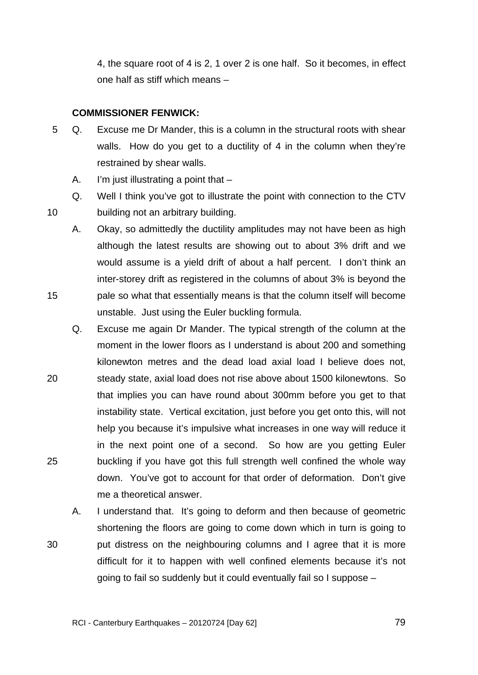4, the square root of 4 is 2, 1 over 2 is one half. So it becomes, in effect one half as stiff which means –

# **COMMISSIONER FENWICK:**

10

15

- 5 Q. Excuse me Dr Mander, this is a column in the structural roots with shear walls. How do you get to a ductility of 4 in the column when they're restrained by shear walls.
	- A. I'm just illustrating a point that –
	- Q. Well I think you've got to illustrate the point with connection to the CTV building not an arbitrary building.
	- A. Okay, so admittedly the ductility amplitudes may not have been as high although the latest results are showing out to about 3% drift and we would assume is a yield drift of about a half percent. I don't think an inter-storey drift as registered in the columns of about 3% is beyond the pale so what that essentially means is that the column itself will become unstable. Just using the Euler buckling formula.
- 20 25 Q. Excuse me again Dr Mander. The typical strength of the column at the moment in the lower floors as I understand is about 200 and something kilonewton metres and the dead load axial load I believe does not, steady state, axial load does not rise above about 1500 kilonewtons. So that implies you can have round about 300mm before you get to that instability state. Vertical excitation, just before you get onto this, will not help you because it's impulsive what increases in one way will reduce it in the next point one of a second. So how are you getting Euler buckling if you have got this full strength well confined the whole way down. You've got to account for that order of deformation. Don't give me a theoretical answer.
	- A. I understand that. It's going to deform and then because of geometric shortening the floors are going to come down which in turn is going to put distress on the neighbouring columns and I agree that it is more difficult for it to happen with well confined elements because it's not going to fail so suddenly but it could eventually fail so I suppose –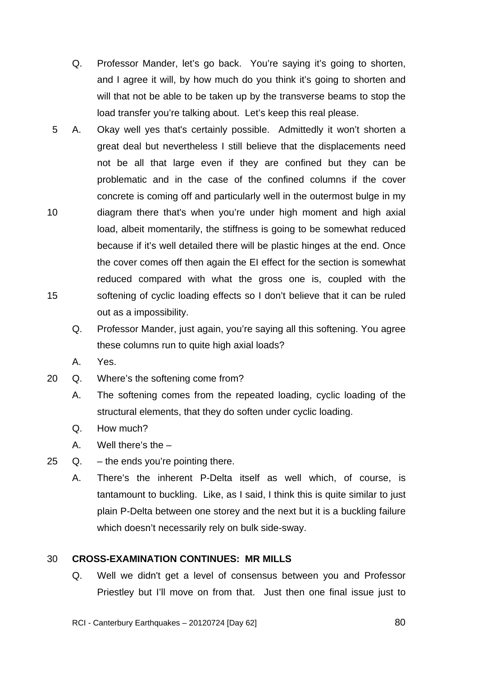TRANS.20120724.80

- Q. Professor Mander, let's go back. You're saying it's going to shorten, and I agree it will, by how much do you think it's going to shorten and will that not be able to be taken up by the transverse beams to stop the load transfer you're talking about. Let's keep this real please.
- 10 15 5 A. Okay well yes that's certainly possible. Admittedly it won't shorten a great deal but nevertheless I still believe that the displacements need not be all that large even if they are confined but they can be problematic and in the case of the confined columns if the cover concrete is coming off and particularly well in the outermost bulge in my diagram there that's when you're under high moment and high axial load, albeit momentarily, the stiffness is going to be somewhat reduced because if it's well detailed there will be plastic hinges at the end. Once the cover comes off then again the EI effect for the section is somewhat reduced compared with what the gross one is, coupled with the softening of cyclic loading effects so I don't believe that it can be ruled out as a impossibility.
	- Q. Professor Mander, just again, you're saying all this softening. You agree these columns run to quite high axial loads?
	- A. Yes.
- 20 Q. Where's the softening come from?
	- A. The softening comes from the repeated loading, cyclic loading of the structural elements, that they do soften under cyclic loading.
	- Q. How much?
	- A. Well there's the –
- 25 Q. the ends you're pointing there.
	- A. There's the inherent P-Delta itself as well which, of course, is tantamount to buckling. Like, as I said, I think this is quite similar to just plain P-Delta between one storey and the next but it is a buckling failure which doesn't necessarily rely on bulk side-sway.

#### 30 **CROSS-EXAMINATION CONTINUES: MR MILLS**

Q. Well we didn't get a level of consensus between you and Professor Priestley but I'll move on from that. Just then one final issue just to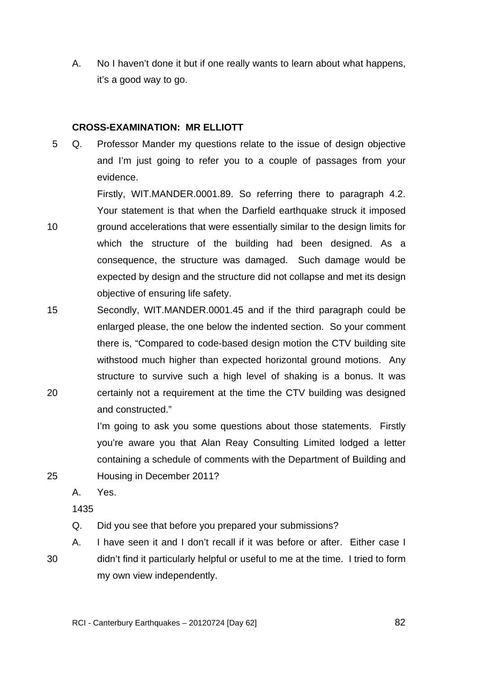A. No I haven't done it but if one really wants to learn about what happens, it's a good way to go.

## **CROSS-EXAMINATION: MR ELLIOTT**

5 Q. Professor Mander my questions relate to the issue of design objective and I'm just going to refer you to a couple of passages from your evidence.

Firstly, WIT.MANDER.0001.89. So referring there to paragraph 4.2. Your statement is that when the Darfield earthquake struck it imposed ground accelerations that were essentially similar to the design limits for which the structure of the building had been designed. As a consequence, the structure was damaged. Such damage would be expected by design and the structure did not collapse and met its design objective of ensuring life safety.

15 20 Secondly, WIT.MANDER.0001.45 and if the third paragraph could be enlarged please, the one below the indented section. So your comment there is, "Compared to code-based design motion the CTV building site withstood much higher than expected horizontal ground motions. Any structure to survive such a high level of shaking is a bonus. It was certainly not a requirement at the time the CTV building was designed and constructed."

> I'm going to ask you some questions about those statements. Firstly you're aware you that Alan Reay Consulting Limited lodged a letter containing a schedule of comments with the Department of Building and Housing in December 2011?

A. Yes.

1435

25

- Q. Did you see that before you prepared your submissions?
- 30 A. I have seen it and I don't recall if it was before or after. Either case I didn't find it particularly helpful or useful to me at the time. I tried to form my own view independently.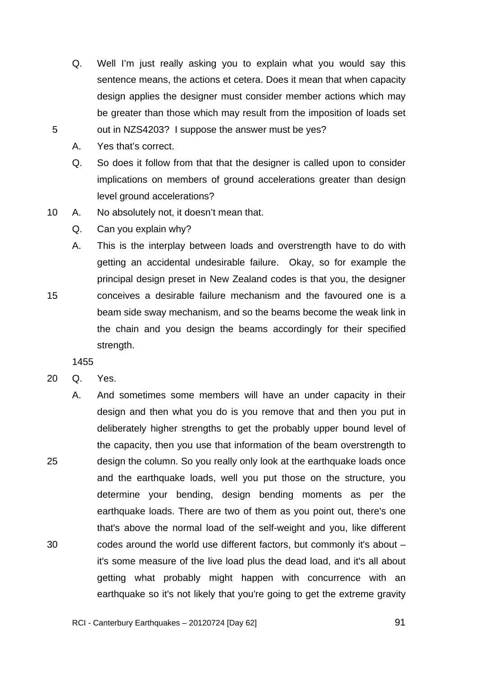- Q. Well I'm just really asking you to explain what you would say this sentence means, the actions et cetera. Does it mean that when capacity design applies the designer must consider member actions which may be greater than those which may result from the imposition of loads set out in NZS4203? I suppose the answer must be yes?
- A. Yes that's correct.

15

- Q. So does it follow from that that the designer is called upon to consider implications on members of ground accelerations greater than design level ground accelerations?
- 10 A. No absolutely not, it doesn't mean that.
	- Q. Can you explain why?

A. This is the interplay between loads and overstrength have to do with getting an accidental undesirable failure. Okay, so for example the principal design preset in New Zealand codes is that you, the designer conceives a desirable failure mechanism and the favoured one is a beam side sway mechanism, and so the beams become the weak link in the chain and you design the beams accordingly for their specified strength.

- 20 Q. Yes.
- 25 30 A. And sometimes some members will have an under capacity in their design and then what you do is you remove that and then you put in deliberately higher strengths to get the probably upper bound level of the capacity, then you use that information of the beam overstrength to design the column. So you really only look at the earthquake loads once and the earthquake loads, well you put those on the structure, you determine your bending, design bending moments as per the earthquake loads. There are two of them as you point out, there's one that's above the normal load of the self-weight and you, like different codes around the world use different factors, but commonly it's about – it's some measure of the live load plus the dead load, and it's all about getting what probably might happen with concurrence with an earthquake so it's not likely that you're going to get the extreme gravity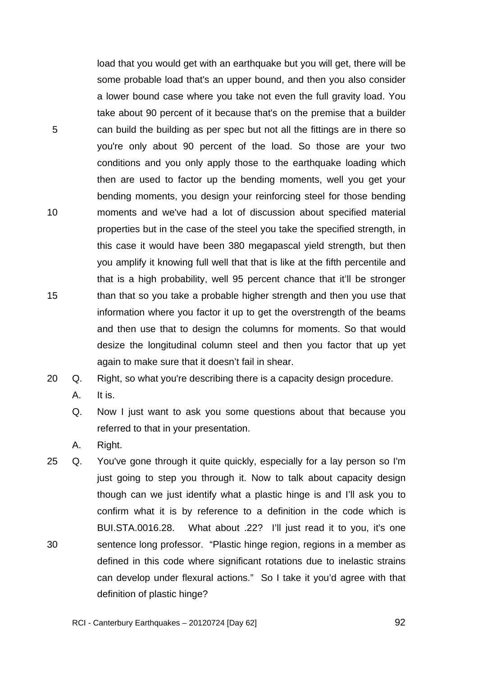load that you would get with an earthquake but you will get, there will be some probable load that's an upper bound, and then you also consider a lower bound case where you take not even the full gravity load. You take about 90 percent of it because that's on the premise that a builder can build the building as per spec but not all the fittings are in there so you're only about 90 percent of the load. So those are your two conditions and you only apply those to the earthquake loading which then are used to factor up the bending moments, well you get your bending moments, you design your reinforcing steel for those bending moments and we've had a lot of discussion about specified material properties but in the case of the steel you take the specified strength, in this case it would have been 380 megapascal yield strength, but then you amplify it knowing full well that that is like at the fifth percentile and that is a high probability, well 95 percent chance that it'll be stronger than that so you take a probable higher strength and then you use that information where you factor it up to get the overstrength of the beams and then use that to design the columns for moments. So that would desize the longitudinal column steel and then you factor that up yet again to make sure that it doesn't fail in shear.

20 Q. Right, so what you're describing there is a capacity design procedure.

A. It is.

5

10

15

Q. Now I just want to ask you some questions about that because you referred to that in your presentation.

A. Right.

30 25 Q. You've gone through it quite quickly, especially for a lay person so I'm just going to step you through it. Now to talk about capacity design though can we just identify what a plastic hinge is and I'll ask you to confirm what it is by reference to a definition in the code which is BUI.STA.0016.28. What about .22? I'll just read it to you, it's one sentence long professor. "Plastic hinge region, regions in a member as defined in this code where significant rotations due to inelastic strains can develop under flexural actions." So I take it you'd agree with that definition of plastic hinge?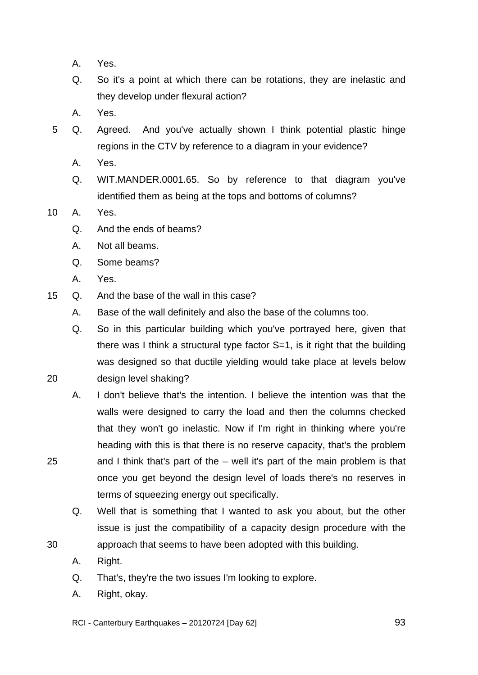- A. Yes.
- Q. So it's a point at which there can be rotations, they are inelastic and they develop under flexural action?
- A. Yes.
- 5 Q. Agreed. And you've actually shown I think potential plastic hinge regions in the CTV by reference to a diagram in your evidence?
	- A. Yes.
	- Q. WIT.MANDER.0001.65. So by reference to that diagram you've identified them as being at the tops and bottoms of columns?
- 10 A. Yes.
	- Q. And the ends of beams?
	- A. Not all beams.
	- Q. Some beams?
	- A. Yes.

25

30

- 15 Q. And the base of the wall in this case?
	- A. Base of the wall definitely and also the base of the columns too.
	- Q. So in this particular building which you've portrayed here, given that there was I think a structural type factor S=1, is it right that the building was designed so that ductile yielding would take place at levels below design level shaking?
	- A. I don't believe that's the intention. I believe the intention was that the walls were designed to carry the load and then the columns checked that they won't go inelastic. Now if I'm right in thinking where you're heading with this is that there is no reserve capacity, that's the problem and I think that's part of the – well it's part of the main problem is that once you get beyond the design level of loads there's no reserves in terms of squeezing energy out specifically.
	- Q. Well that is something that I wanted to ask you about, but the other issue is just the compatibility of a capacity design procedure with the approach that seems to have been adopted with this building.
	- A. Right.
	- Q. That's, they're the two issues I'm looking to explore.
	- A. Right, okay.

RCI - Canterbury Earthquakes – 20120724 [Day 62]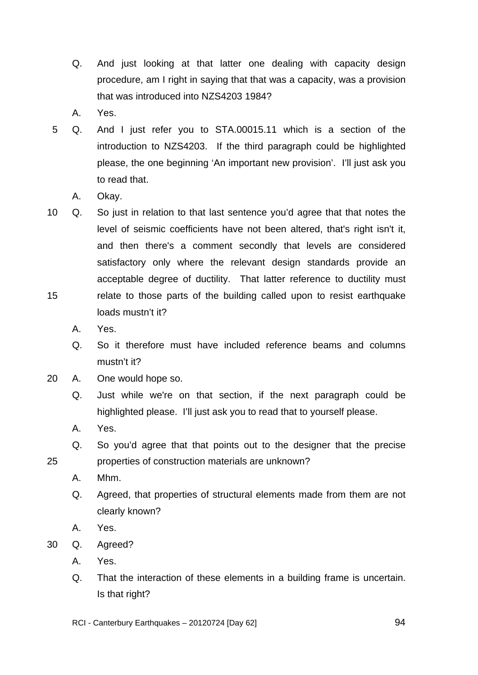- Q. And just looking at that latter one dealing with capacity design procedure, am I right in saying that that was a capacity, was a provision that was introduced into NZS4203 1984?
- A. Yes.
- 5 Q. And I just refer you to STA.00015.11 which is a section of the introduction to NZS4203. If the third paragraph could be highlighted please, the one beginning 'An important new provision'. I'll just ask you to read that.
	- A. Okay.
- 15 10 Q. So just in relation to that last sentence you'd agree that that notes the level of seismic coefficients have not been altered, that's right isn't it, and then there's a comment secondly that levels are considered satisfactory only where the relevant design standards provide an acceptable degree of ductility. That latter reference to ductility must relate to those parts of the building called upon to resist earthquake loads mustn't it?
	- A. Yes.
	- Q. So it therefore must have included reference beams and columns mustn't it?
- 20 A. One would hope so.
	- Q. Just while we're on that section, if the next paragraph could be highlighted please. I'll just ask you to read that to yourself please.
	- A. Yes.
	- Q. So you'd agree that that points out to the designer that the precise properties of construction materials are unknown?
	- A. Mhm.

- Q. Agreed, that properties of structural elements made from them are not clearly known?
- A. Yes.
- 30 Q. Agreed?
	- A. Yes.
	- Q. That the interaction of these elements in a building frame is uncertain. Is that right?
	- RCI Canterbury Earthquakes 20120724 [Day 62]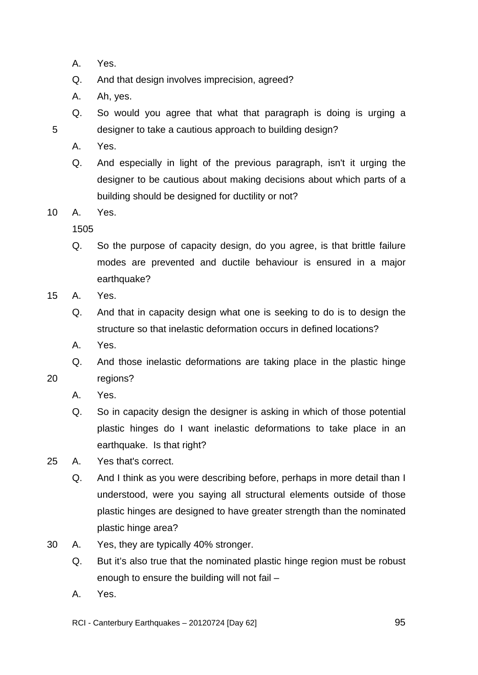- A. Yes.
- Q. And that design involves imprecision, agreed?
- A. Ah, yes.
- Q. So would you agree that what that paragraph is doing is urging a designer to take a cautious approach to building design?
- A. Yes.

Q. And especially in light of the previous paragraph, isn't it urging the designer to be cautious about making decisions about which parts of a building should be designed for ductility or not?

10 A. Yes.

1505

- Q. So the purpose of capacity design, do you agree, is that brittle failure modes are prevented and ductile behaviour is ensured in a major earthquake?
- 15 A. Yes.
	- Q. And that in capacity design what one is seeking to do is to design the structure so that inelastic deformation occurs in defined locations?
	- A. Yes.
	- Q. And those inelastic deformations are taking place in the plastic hinge regions?
	- A. Yes.

20

- Q. So in capacity design the designer is asking in which of those potential plastic hinges do I want inelastic deformations to take place in an earthquake. Is that right?
- 25 A. Yes that's correct.
	- Q. And I think as you were describing before, perhaps in more detail than I understood, were you saying all structural elements outside of those plastic hinges are designed to have greater strength than the nominated plastic hinge area?
- 30 A. Yes, they are typically 40% stronger.
	- Q. But it's also true that the nominated plastic hinge region must be robust enough to ensure the building will not fail –
	- A. Yes.

RCI - Canterbury Earthquakes – 20120724 [Day 62]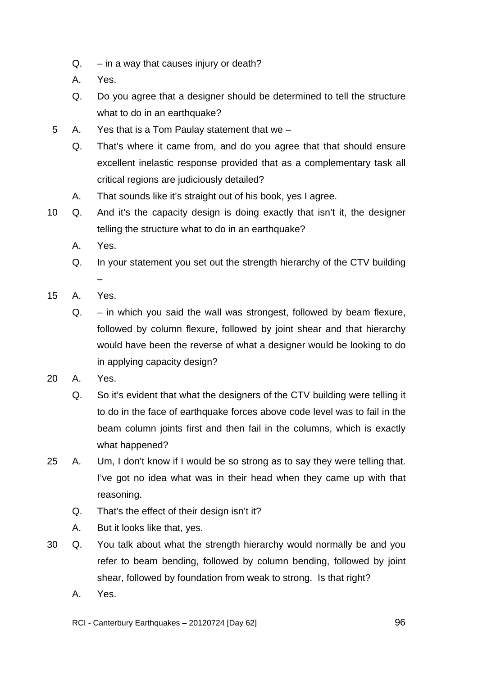- $Q. in a way that causes injury or death?$
- A. Yes.
- Q. Do you agree that a designer should be determined to tell the structure what to do in an earthquake?
- 5 A. Yes that is a Tom Paulay statement that we
	- Q. That's where it came from, and do you agree that that should ensure excellent inelastic response provided that as a complementary task all critical regions are judiciously detailed?
	- A. That sounds like it's straight out of his book, yes I agree.
- 10 Q. And it's the capacity design is doing exactly that isn't it, the designer telling the structure what to do in an earthquake?
	- A. Yes.
	- Q. In your statement you set out the strength hierarchy of the CTV building –
- 15 A. Yes.
	- Q. in which you said the wall was strongest, followed by beam flexure, followed by column flexure, followed by joint shear and that hierarchy would have been the reverse of what a designer would be looking to do in applying capacity design?
- 20 A. Yes.
	- Q. So it's evident that what the designers of the CTV building were telling it to do in the face of earthquake forces above code level was to fail in the beam column joints first and then fail in the columns, which is exactly what happened?
- 25 A. Um, I don't know if I would be so strong as to say they were telling that. I've got no idea what was in their head when they came up with that reasoning.
	- Q. That's the effect of their design isn't it?
	- A. But it looks like that, yes.
- 30 Q. You talk about what the strength hierarchy would normally be and you refer to beam bending, followed by column bending, followed by joint shear, followed by foundation from weak to strong. Is that right?
	- A. Yes.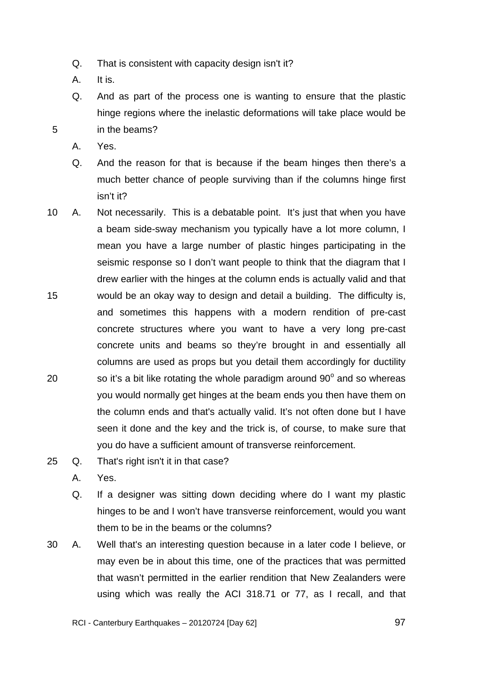- Q. That is consistent with capacity design isn't it?
- A. It is.
- Q. And as part of the process one is wanting to ensure that the plastic hinge regions where the inelastic deformations will take place would be in the beams?
- A. Yes.

- Q. And the reason for that is because if the beam hinges then there's a much better chance of people surviving than if the columns hinge first isn't it?
- 15 20 10 A. Not necessarily. This is a debatable point. It's just that when you have a beam side-sway mechanism you typically have a lot more column, I mean you have a large number of plastic hinges participating in the seismic response so I don't want people to think that the diagram that I drew earlier with the hinges at the column ends is actually valid and that would be an okay way to design and detail a building. The difficulty is, and sometimes this happens with a modern rendition of pre-cast concrete structures where you want to have a very long pre-cast concrete units and beams so they're brought in and essentially all columns are used as props but you detail them accordingly for ductility so it's a bit like rotating the whole paradigm around  $90^\circ$  and so whereas you would normally get hinges at the beam ends you then have them on the column ends and that's actually valid. It's not often done but I have seen it done and the key and the trick is, of course, to make sure that you do have a sufficient amount of transverse reinforcement.
- 25 Q. That's right isn't it in that case?
	- A. Yes.
	- Q. If a designer was sitting down deciding where do I want my plastic hinges to be and I won't have transverse reinforcement, would you want them to be in the beams or the columns?
- 30 A. Well that's an interesting question because in a later code I believe, or may even be in about this time, one of the practices that was permitted that wasn't permitted in the earlier rendition that New Zealanders were using which was really the ACI 318.71 or 77, as I recall, and that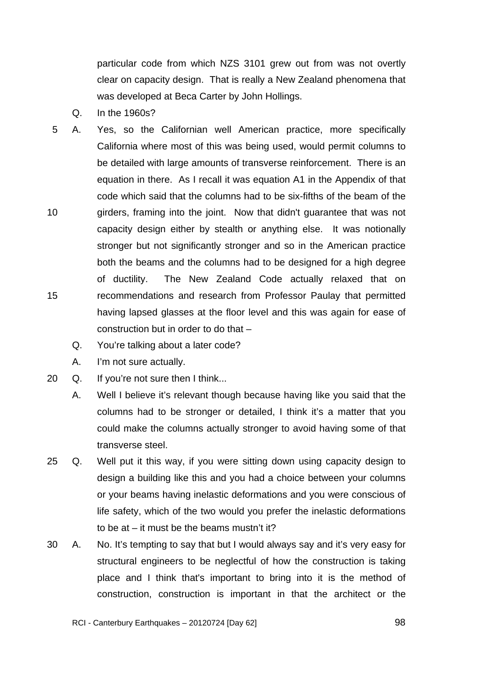particular code from which NZS 3101 grew out from was not overtly clear on capacity design. That is really a New Zealand phenomena that was developed at Beca Carter by John Hollings.

- Q. In the 1960s?
- 10 15 5 A. Yes, so the Californian well American practice, more specifically California where most of this was being used, would permit columns to be detailed with large amounts of transverse reinforcement. There is an equation in there. As I recall it was equation A1 in the Appendix of that code which said that the columns had to be six-fifths of the beam of the girders, framing into the joint. Now that didn't guarantee that was not capacity design either by stealth or anything else. It was notionally stronger but not significantly stronger and so in the American practice both the beams and the columns had to be designed for a high degree of ductility. The New Zealand Code actually relaxed that on recommendations and research from Professor Paulay that permitted having lapsed glasses at the floor level and this was again for ease of construction but in order to do that –
	- Q. You're talking about a later code?
	- A. I'm not sure actually.
- 20 Q. If you're not sure then I think...
	- A. Well I believe it's relevant though because having like you said that the columns had to be stronger or detailed, I think it's a matter that you could make the columns actually stronger to avoid having some of that transverse steel.
- 25 Q. Well put it this way, if you were sitting down using capacity design to design a building like this and you had a choice between your columns or your beams having inelastic deformations and you were conscious of life safety, which of the two would you prefer the inelastic deformations to be at – it must be the beams mustn't it?
- 30 A. No. It's tempting to say that but I would always say and it's very easy for structural engineers to be neglectful of how the construction is taking place and I think that's important to bring into it is the method of construction, construction is important in that the architect or the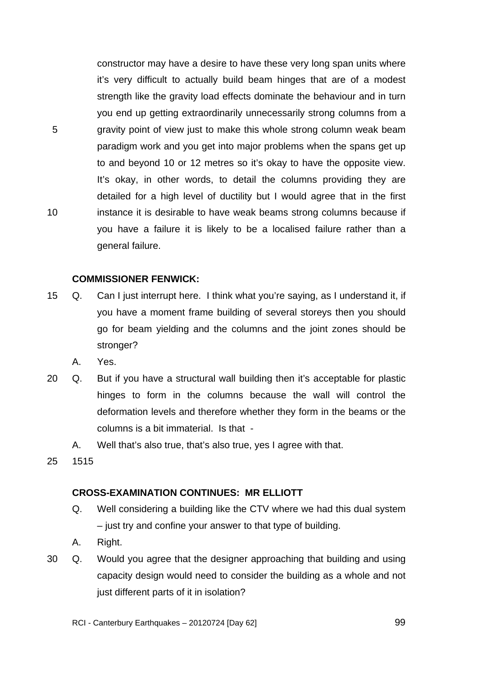constructor may have a desire to have these very long span units where it's very difficult to actually build beam hinges that are of a modest strength like the gravity load effects dominate the behaviour and in turn you end up getting extraordinarily unnecessarily strong columns from a gravity point of view just to make this whole strong column weak beam paradigm work and you get into major problems when the spans get up to and beyond 10 or 12 metres so it's okay to have the opposite view. It's okay, in other words, to detail the columns providing they are detailed for a high level of ductility but I would agree that in the first instance it is desirable to have weak beams strong columns because if you have a failure it is likely to be a localised failure rather than a general failure.

## **COMMISSIONER FENWICK:**

- 15 Q. Can I just interrupt here. I think what you're saying, as I understand it, if you have a moment frame building of several storeys then you should go for beam yielding and the columns and the joint zones should be stronger?
	- A. Yes.
- 20 Q. But if you have a structural wall building then it's acceptable for plastic hinges to form in the columns because the wall will control the deformation levels and therefore whether they form in the beams or the columns is a bit immaterial. Is that -
	- A. Well that's also true, that's also true, yes I agree with that.
- 25 1515

5

10

## **CROSS-EXAMINATION CONTINUES: MR ELLIOTT**

- Q. Well considering a building like the CTV where we had this dual system – just try and confine your answer to that type of building.
- A. Right.
- 30 Q. Would you agree that the designer approaching that building and using capacity design would need to consider the building as a whole and not just different parts of it in isolation?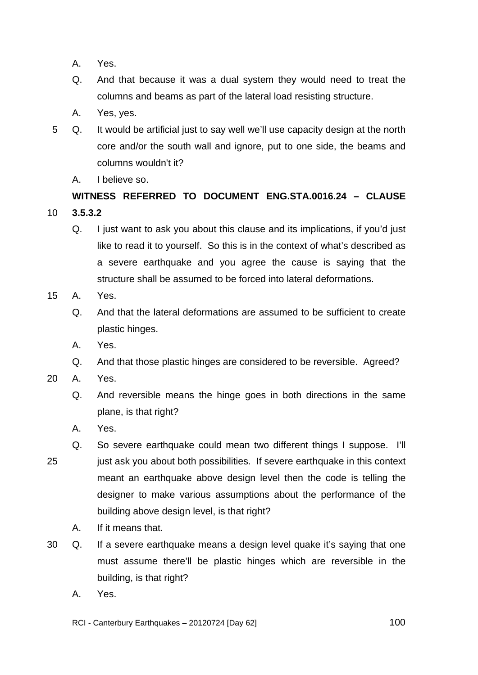- A. Yes.
- Q. And that because it was a dual system they would need to treat the columns and beams as part of the lateral load resisting structure.
- A. Yes, yes.
- 5 Q. It would be artificial just to say well we'll use capacity design at the north core and/or the south wall and ignore, put to one side, the beams and columns wouldn't it?
	- A. I believe so.

# **WITNESS REFERRED TO DOCUMENT ENG.STA.0016.24 – CLAUSE**

- 10 **3.5.3.2** 
	- Q. I just want to ask you about this clause and its implications, if you'd just like to read it to yourself. So this is in the context of what's described as a severe earthquake and you agree the cause is saying that the structure shall be assumed to be forced into lateral deformations.
- 15 A. Yes.
	- Q. And that the lateral deformations are assumed to be sufficient to create plastic hinges.
	- A. Yes.
	- Q. And that those plastic hinges are considered to be reversible. Agreed?
- 20 A. Yes.
	- Q. And reversible means the hinge goes in both directions in the same plane, is that right?
	- A. Yes.
- 25 Q. So severe earthquake could mean two different things I suppose. I'll just ask you about both possibilities. If severe earthquake in this context meant an earthquake above design level then the code is telling the designer to make various assumptions about the performance of the building above design level, is that right?
	- A. If it means that.
- 30 Q. If a severe earthquake means a design level quake it's saying that one must assume there'll be plastic hinges which are reversible in the building, is that right?
	- A. Yes.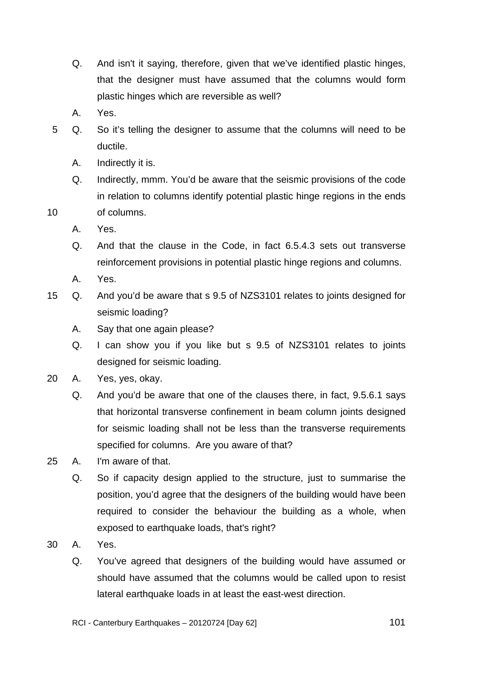- Q. And isn't it saying, therefore, given that we've identified plastic hinges, that the designer must have assumed that the columns would form plastic hinges which are reversible as well?
- A. Yes.
- 5 Q. So it's telling the designer to assume that the columns will need to be ductile.
	- A. Indirectly it is.
	- Q. Indirectly, mmm. You'd be aware that the seismic provisions of the code in relation to columns identify potential plastic hinge regions in the ends of columns.
	- A. Yes.

- Q. And that the clause in the Code, in fact 6.5.4.3 sets out transverse reinforcement provisions in potential plastic hinge regions and columns.
- A. Yes.
- 15 Q. And you'd be aware that s 9.5 of NZS3101 relates to joints designed for seismic loading?
	- A. Say that one again please?
	- Q. I can show you if you like but s 9.5 of NZS3101 relates to joints designed for seismic loading.
- 20 A. Yes, yes, okay.
	- Q. And you'd be aware that one of the clauses there, in fact, 9.5.6.1 says that horizontal transverse confinement in beam column joints designed for seismic loading shall not be less than the transverse requirements specified for columns. Are you aware of that?
- 25 A. I'm aware of that.
	- Q. So if capacity design applied to the structure, just to summarise the position, you'd agree that the designers of the building would have been required to consider the behaviour the building as a whole, when exposed to earthquake loads, that's right?
- 30 A. Yes.
	- Q. You've agreed that designers of the building would have assumed or should have assumed that the columns would be called upon to resist lateral earthquake loads in at least the east-west direction.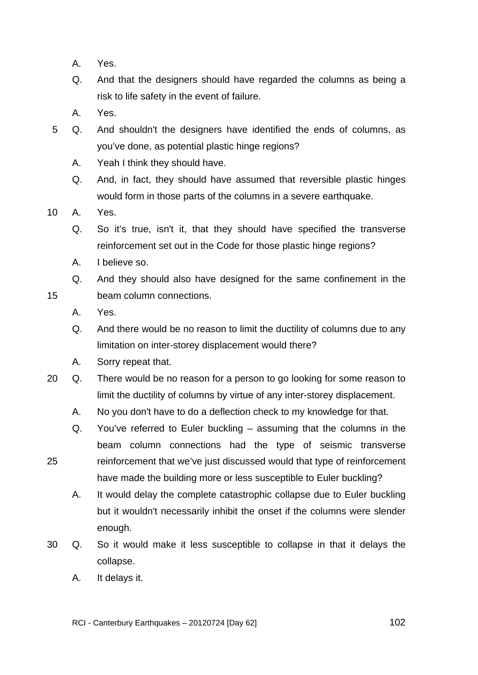- A. Yes.
- Q. And that the designers should have regarded the columns as being a risk to life safety in the event of failure.
- A. Yes.
- 5 Q. And shouldn't the designers have identified the ends of columns, as you've done, as potential plastic hinge regions?
	- A. Yeah I think they should have.
	- Q. And, in fact, they should have assumed that reversible plastic hinges would form in those parts of the columns in a severe earthquake.
- 10 A. Yes.

- Q. So it's true, isn't it, that they should have specified the transverse reinforcement set out in the Code for those plastic hinge regions?
- A. I believe so.
- Q. And they should also have designed for the same confinement in the beam column connections.
- A. Yes.
- Q. And there would be no reason to limit the ductility of columns due to any limitation on inter-storey displacement would there?
- A. Sorry repeat that.
- 20 Q. There would be no reason for a person to go looking for some reason to limit the ductility of columns by virtue of any inter-storey displacement.
	- A. No you don't have to do a deflection check to my knowledge for that.
	- Q. You've referred to Euler buckling assuming that the columns in the beam column connections had the type of seismic transverse reinforcement that we've just discussed would that type of reinforcement have made the building more or less susceptible to Euler buckling?
		- A. It would delay the complete catastrophic collapse due to Euler buckling but it wouldn't necessarily inhibit the onset if the columns were slender enough.
- 30 Q. So it would make it less susceptible to collapse in that it delays the collapse.
	- A. It delays it.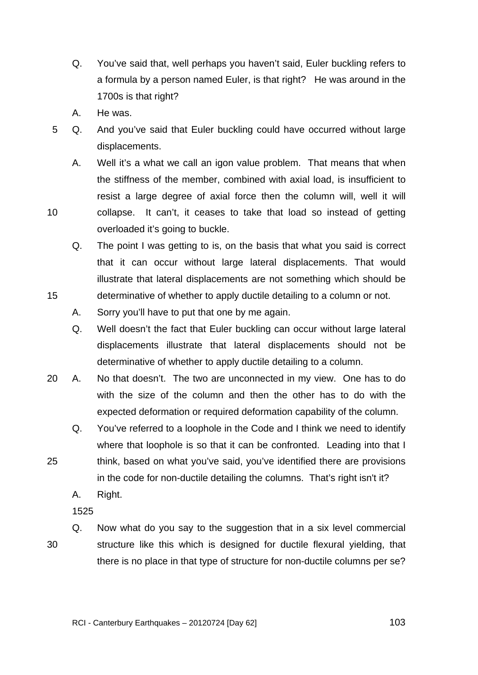- Q. You've said that, well perhaps you haven't said, Euler buckling refers to a formula by a person named Euler, is that right? He was around in the 1700s is that right?
- A. He was.
- 5 Q. And you've said that Euler buckling could have occurred without large displacements.
	- A. Well it's a what we call an igon value problem. That means that when the stiffness of the member, combined with axial load, is insufficient to resist a large degree of axial force then the column will, well it will collapse. It can't, it ceases to take that load so instead of getting overloaded it's going to buckle.
	- Q. The point I was getting to is, on the basis that what you said is correct that it can occur without large lateral displacements. That would illustrate that lateral displacements are not something which should be determinative of whether to apply ductile detailing to a column or not.
	- A. Sorry you'll have to put that one by me again.
	- Q. Well doesn't the fact that Euler buckling can occur without large lateral displacements illustrate that lateral displacements should not be determinative of whether to apply ductile detailing to a column.
- 20 A. No that doesn't. The two are unconnected in my view. One has to do with the size of the column and then the other has to do with the expected deformation or required deformation capability of the column.
	- Q. You've referred to a loophole in the Code and I think we need to identify where that loophole is so that it can be confronted. Leading into that I think, based on what you've said, you've identified there are provisions
		- in the code for non-ductile detailing the columns. That's right isn't it?
		- A. Right.

30

25

10

15

Q. Now what do you say to the suggestion that in a six level commercial structure like this which is designed for ductile flexural yielding, that there is no place in that type of structure for non-ductile columns per se?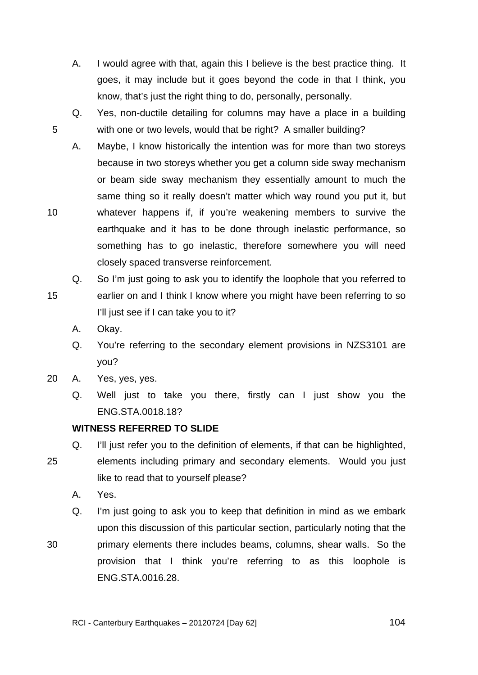TRANS.20120724.104

- A. I would agree with that, again this I believe is the best practice thing. It goes, it may include but it goes beyond the code in that I think, you know, that's just the right thing to do, personally, personally.
- Q. Yes, non-ductile detailing for columns may have a place in a building with one or two levels, would that be right? A smaller building?
- A. Maybe, I know historically the intention was for more than two storeys because in two storeys whether you get a column side sway mechanism or beam side sway mechanism they essentially amount to much the same thing so it really doesn't matter which way round you put it, but whatever happens if, if you're weakening members to survive the earthquake and it has to be done through inelastic performance, so something has to go inelastic, therefore somewhere you will need closely spaced transverse reinforcement.
- 15 Q. So I'm just going to ask you to identify the loophole that you referred to earlier on and I think I know where you might have been referring to so I'll just see if I can take you to it?
	- A. Okay.

5

10

- Q. You're referring to the secondary element provisions in NZS3101 are you?
- 20 A. Yes, yes, yes.
	- Q. Well just to take you there, firstly can I just show you the ENG.STA.0018.18?

# **WITNESS REFERRED TO SLIDE**

- 25 Q. I'll just refer you to the definition of elements, if that can be highlighted, elements including primary and secondary elements. Would you just like to read that to yourself please?
	- A. Yes.

30

Q. I'm just going to ask you to keep that definition in mind as we embark upon this discussion of this particular section, particularly noting that the primary elements there includes beams, columns, shear walls. So the provision that I think you're referring to as this loophole is ENG.STA.0016.28.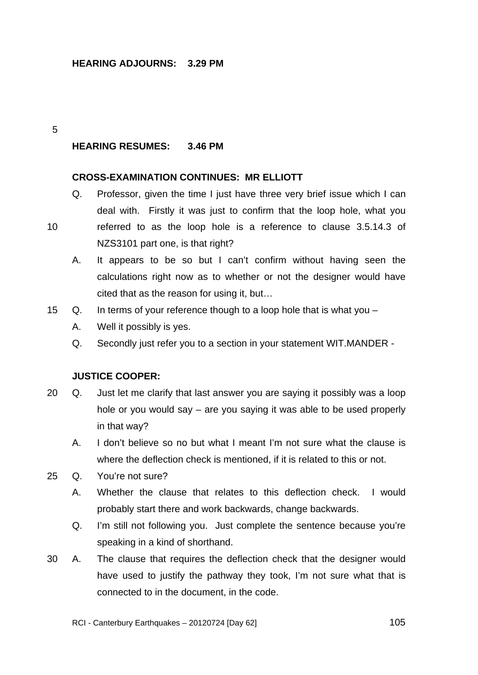# **HEARING ADJOURNS: 3.29 PM**

#### 5

10

# **HEARING RESUMES: 3.46 PM**

## **CROSS-EXAMINATION CONTINUES: MR ELLIOTT**

Q. Professor, given the time I just have three very brief issue which I can deal with. Firstly it was just to confirm that the loop hole, what you referred to as the loop hole is a reference to clause 3.5.14.3 of

NZS3101 part one, is that right?

- A. It appears to be so but I can't confirm without having seen the calculations right now as to whether or not the designer would have cited that as the reason for using it, but…
- 15 Q. In terms of your reference though to a loop hole that is what you
	- A. Well it possibly is yes.
	- Q. Secondly just refer you to a section in your statement WIT.MANDER -

#### **JUSTICE COOPER:**

- 20 Q. Just let me clarify that last answer you are saying it possibly was a loop hole or you would say – are you saying it was able to be used properly in that way?
	- A. I don't believe so no but what I meant I'm not sure what the clause is where the deflection check is mentioned, if it is related to this or not.
- 25 Q. You're not sure?
	- A. Whether the clause that relates to this deflection check. I would probably start there and work backwards, change backwards.
	- Q. I'm still not following you. Just complete the sentence because you're speaking in a kind of shorthand.
- 30 A. The clause that requires the deflection check that the designer would have used to justify the pathway they took, I'm not sure what that is connected to in the document, in the code.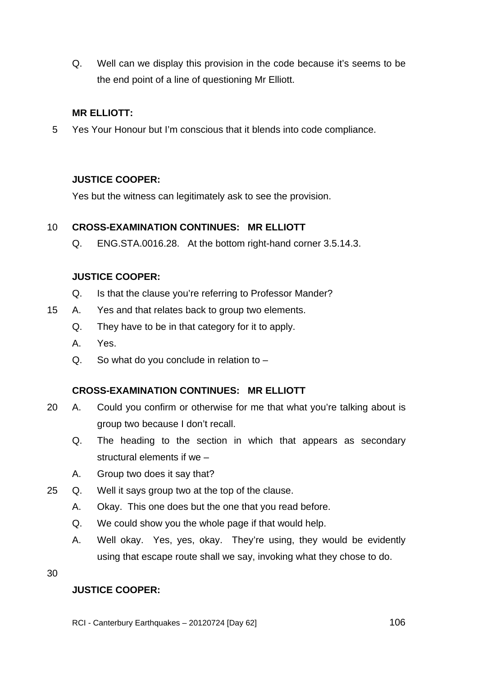Q. Well can we display this provision in the code because it's seems to be the end point of a line of questioning Mr Elliott.

# **MR ELLIOTT:**

5 Yes Your Honour but I'm conscious that it blends into code compliance.

# **JUSTICE COOPER:**

Yes but the witness can legitimately ask to see the provision.

#### 10 **CROSS-EXAMINATION CONTINUES: MR ELLIOTT**

Q. ENG.STA.0016.28. At the bottom right-hand corner 3.5.14.3.

# **JUSTICE COOPER:**

- Q. Is that the clause you're referring to Professor Mander?
- 15 A. Yes and that relates back to group two elements.
	- Q. They have to be in that category for it to apply.
	- A. Yes.
	- $Q.$  So what do you conclude in relation to  $-$

# **CROSS-EXAMINATION CONTINUES: MR ELLIOTT**

- 20 A. Could you confirm or otherwise for me that what you're talking about is group two because I don't recall.
	- Q. The heading to the section in which that appears as secondary structural elements if we –
	- A. Group two does it say that?
- 25 Q. Well it says group two at the top of the clause.
	- A. Okay. This one does but the one that you read before.
	- Q. We could show you the whole page if that would help.
	- A. Well okay. Yes, yes, okay. They're using, they would be evidently using that escape route shall we say, invoking what they chose to do.

30

# **JUSTICE COOPER:**

RCI - Canterbury Earthquakes – 20120724 [Day 62]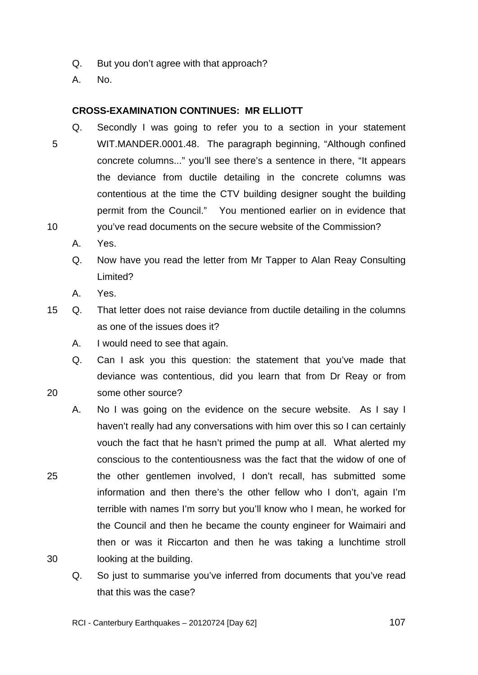- Q. But you don't agree with that approach?
- A. No.

# **CROSS-EXAMINATION CONTINUES: MR ELLIOTT**

- 5 10 Q. Secondly I was going to refer you to a section in your statement WIT.MANDER.0001.48. The paragraph beginning, "Although confined concrete columns..." you'll see there's a sentence in there, "It appears the deviance from ductile detailing in the concrete columns was contentious at the time the CTV building designer sought the building permit from the Council." You mentioned earlier on in evidence that you've read documents on the secure website of the Commission?
	- A. Yes.
	- Q. Now have you read the letter from Mr Tapper to Alan Reay Consulting Limited?
	- A. Yes.

20

- 15 Q. That letter does not raise deviance from ductile detailing in the columns as one of the issues does it?
	- A. I would need to see that again.
	- Q. Can I ask you this question: the statement that you've made that deviance was contentious, did you learn that from Dr Reay or from some other source?
- 25 A. No I was going on the evidence on the secure website. As I say I haven't really had any conversations with him over this so I can certainly vouch the fact that he hasn't primed the pump at all. What alerted my conscious to the contentiousness was the fact that the widow of one of the other gentlemen involved, I don't recall, has submitted some information and then there's the other fellow who I don't, again I'm terrible with names I'm sorry but you'll know who I mean, he worked for the Council and then he became the county engineer for Waimairi and then or was it Riccarton and then he was taking a lunchtime stroll looking at the building.
	- Q. So just to summarise you've inferred from documents that you've read that this was the case?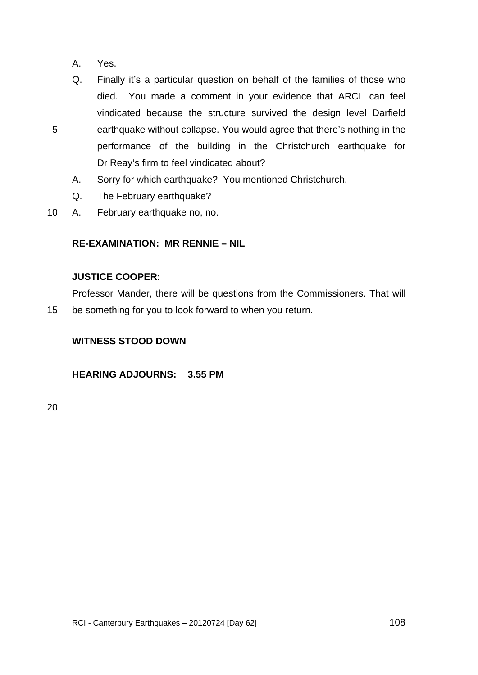A. Yes.

5

- Q. Finally it's a particular question on behalf of the families of those who died. You made a comment in your evidence that ARCL can feel vindicated because the structure survived the design level Darfield earthquake without collapse. You would agree that there's nothing in the performance of the building in the Christchurch earthquake for Dr Reay's firm to feel vindicated about?
- A. Sorry for which earthquake? You mentioned Christchurch.
- Q. The February earthquake?
- 10 A. February earthquake no, no.

# **RE-EXAMINATION: MR RENNIE – NIL**

# **JUSTICE COOPER:**

Professor Mander, there will be questions from the Commissioners. That will be something for you to look forward to when you return.

# **WITNESS STOOD DOWN**

**HEARING ADJOURNS: 3.55 PM** 

20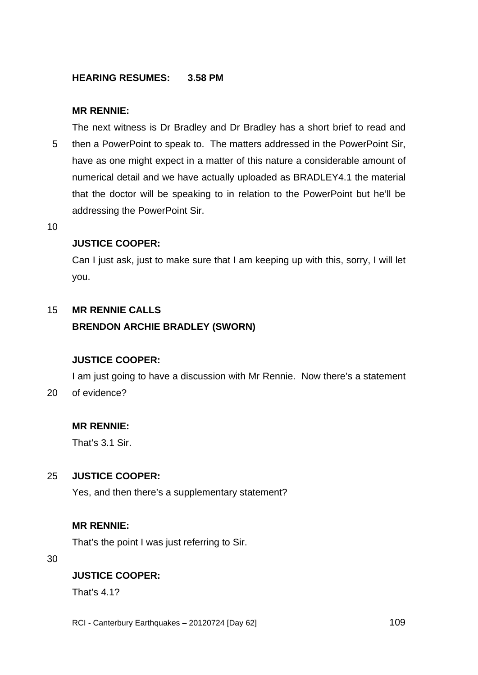## **HEARING RESUMES: 3.58 PM**

### **MR RENNIE:**

5 The next witness is Dr Bradley and Dr Bradley has a short brief to read and then a PowerPoint to speak to. The matters addressed in the PowerPoint Sir, have as one might expect in a matter of this nature a considerable amount of numerical detail and we have actually uploaded as BRADLEY4.1 the material that the doctor will be speaking to in relation to the PowerPoint but he'll be addressing the PowerPoint Sir.

10

### **JUSTICE COOPER:**

Can I just ask, just to make sure that I am keeping up with this, sorry, I will let you.

#### <span id="page-108-0"></span>15 **MR RENNIE CALLS**

## **BRENDON ARCHIE BRADLEY (SWORN)**

## **JUSTICE COOPER:**

 $20<sub>2</sub>$ I am just going to have a discussion with Mr Rennie. Now there's a statement of evidence?

## **MR RENNIE:**

That's 3.1 Sir.

#### 25 **JUSTICE COOPER:**

Yes, and then there's a supplementary statement?

## **MR RENNIE:**

That's the point I was just referring to Sir.

30

## **JUSTICE COOPER:**

That's 4.1?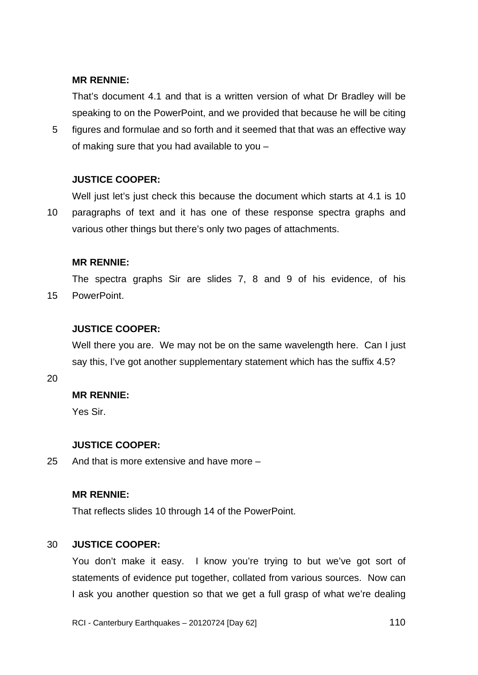### **MR RENNIE:**

That's document 4.1 and that is a written version of what Dr Bradley will be speaking to on the PowerPoint, and we provided that because he will be citing

5 figures and formulae and so forth and it seemed that that was an effective way of making sure that you had available to you –

### **JUSTICE COOPER:**

10 Well just let's just check this because the document which starts at 4.1 is 10 paragraphs of text and it has one of these response spectra graphs and various other things but there's only two pages of attachments.

### **MR RENNIE:**

15 The spectra graphs Sir are slides 7, 8 and 9 of his evidence, of his **PowerPoint** 

## **JUSTICE COOPER:**

Well there you are. We may not be on the same wavelength here. Can I just say this, I've got another supplementary statement which has the suffix 4.5?

### 20

### **MR RENNIE:**

Yes Sir.

### **JUSTICE COOPER:**

25 And that is more extensive and have more –

### **MR RENNIE:**

That reflects slides 10 through 14 of the PowerPoint.

#### 30 **JUSTICE COOPER:**

You don't make it easy. I know you're trying to but we've got sort of statements of evidence put together, collated from various sources. Now can I ask you another question so that we get a full grasp of what we're dealing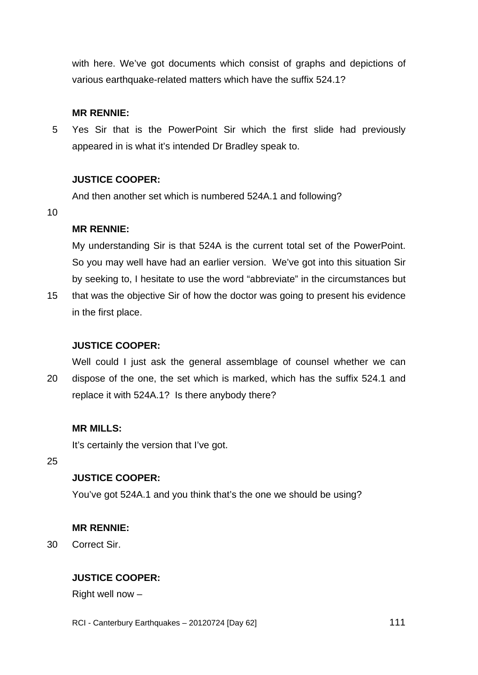with here. We've got documents which consist of graphs and depictions of various earthquake-related matters which have the suffix 524.1?

### **MR RENNIE:**

5 Yes Sir that is the PowerPoint Sir which the first slide had previously appeared in is what it's intended Dr Bradley speak to.

### **JUSTICE COOPER:**

And then another set which is numbered 524A.1 and following?

10

### **MR RENNIE:**

My understanding Sir is that 524A is the current total set of the PowerPoint. So you may well have had an earlier version. We've got into this situation Sir by seeking to, I hesitate to use the word "abbreviate" in the circumstances but

15 that was the objective Sir of how the doctor was going to present his evidence in the first place.

## **JUSTICE COOPER:**

20 Well could I just ask the general assemblage of counsel whether we can dispose of the one, the set which is marked, which has the suffix 524.1 and replace it with 524A.1? Is there anybody there?

### **MR MILLS:**

It's certainly the version that I've got.

25

# **JUSTICE COOPER:**

You've got 524A.1 and you think that's the one we should be using?

### **MR RENNIE:**

30 Correct Sir.

## **JUSTICE COOPER:**

Right well now –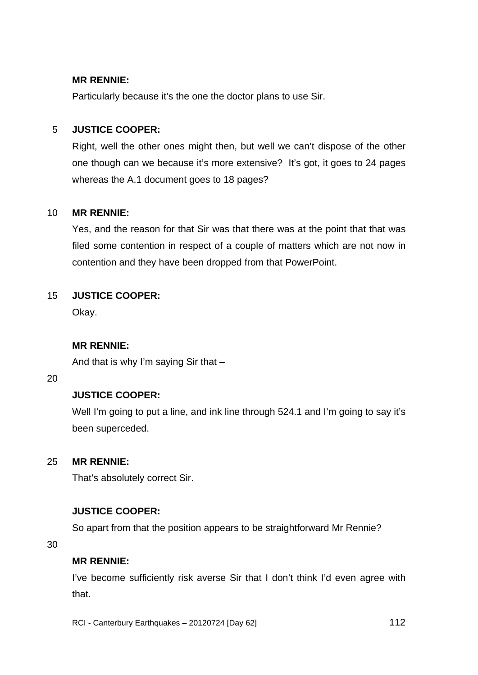### **MR RENNIE:**

Particularly because it's the one the doctor plans to use Sir.

#### 5 **JUSTICE COOPER:**

Right, well the other ones might then, but well we can't dispose of the other one though can we because it's more extensive? It's got, it goes to 24 pages whereas the A.1 document goes to 18 pages?

#### 10 **MR RENNIE:**

Yes, and the reason for that Sir was that there was at the point that that was filed some contention in respect of a couple of matters which are not now in contention and they have been dropped from that PowerPoint.

#### 15 **JUSTICE COOPER:**

Okay.

## **MR RENNIE:**

And that is why I'm saying Sir that –

20

## **JUSTICE COOPER:**

Well I'm going to put a line, and ink line through 524.1 and I'm going to say it's been superceded.

#### 25 **MR RENNIE:**

That's absolutely correct Sir.

## **JUSTICE COOPER:**

So apart from that the position appears to be straightforward Mr Rennie?

30

### **MR RENNIE:**

I've become sufficiently risk averse Sir that I don't think I'd even agree with that.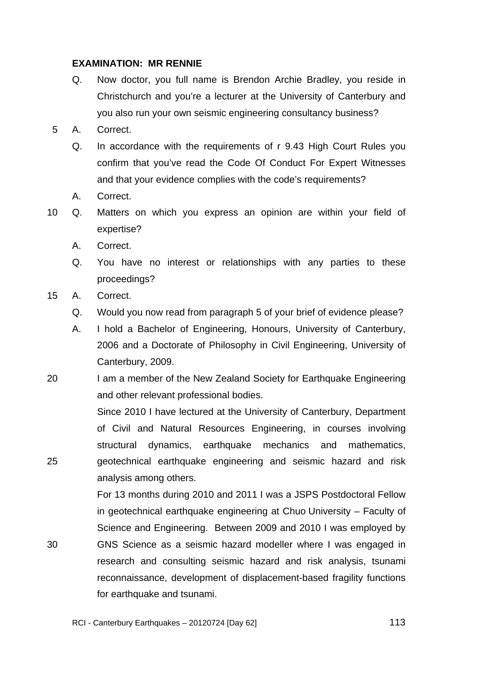### **EXAMINATION: MR RENNIE**

- Q. Now doctor, you full name is Brendon Archie Bradley, you reside in Christchurch and you're a lecturer at the University of Canterbury and you also run your own seismic engineering consultancy business?
- 5 A. Correct.
	- Q. In accordance with the requirements of r 9.43 High Court Rules you confirm that you've read the Code Of Conduct For Expert Witnesses and that your evidence complies with the code's requirements?
	- A. Correct.
- 10 Q. Matters on which you express an opinion are within your field of expertise?
	- A. Correct.
	- Q. You have no interest or relationships with any parties to these proceedings?
- 15 A. Correct.

25

30

- Q. Would you now read from paragraph 5 of your brief of evidence please?
- A. I hold a Bachelor of Engineering, Honours, University of Canterbury, 2006 and a Doctorate of Philosophy in Civil Engineering, University of Canterbury, 2009.
- 20 I am a member of the New Zealand Society for Earthquake Engineering and other relevant professional bodies.

Since 2010 I have lectured at the University of Canterbury, Department of Civil and Natural Resources Engineering, in courses involving structural dynamics, earthquake mechanics and mathematics, geotechnical earthquake engineering and seismic hazard and risk analysis among others.

For 13 months during 2010 and 2011 I was a JSPS Postdoctoral Fellow in geotechnical earthquake engineering at Chuo University – Faculty of Science and Engineering. Between 2009 and 2010 I was employed by GNS Science as a seismic hazard modeller where I was engaged in research and consulting seismic hazard and risk analysis, tsunami reconnaissance, development of displacement-based fragility functions for earthquake and tsunami.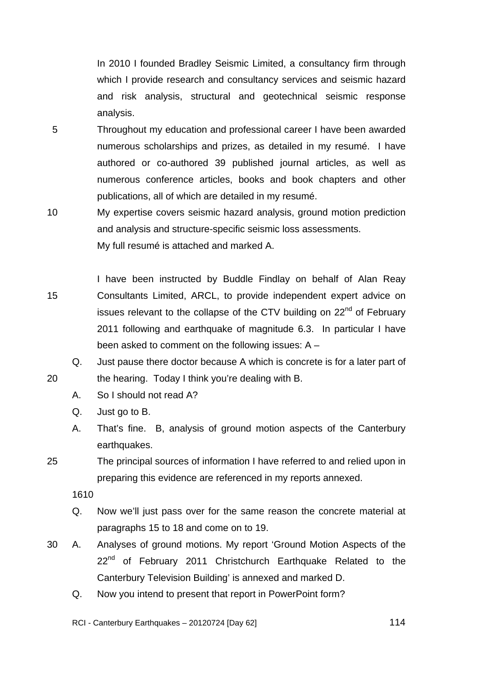In 2010 I founded Bradley Seismic Limited, a consultancy firm through which I provide research and consultancy services and seismic hazard and risk analysis, structural and geotechnical seismic response analysis.

- 5 Throughout my education and professional career I have been awarded numerous scholarships and prizes, as detailed in my resumé. I have authored or co-authored 39 published journal articles, as well as numerous conference articles, books and book chapters and other publications, all of which are detailed in my resumé.
- 10 My expertise covers seismic hazard analysis, ground motion prediction and analysis and structure-specific seismic loss assessments. My full resumé is attached and marked A.
- 15 I have been instructed by Buddle Findlay on behalf of Alan Reay Consultants Limited, ARCL, to provide independent expert advice on issues relevant to the collapse of the CTV building on 22<sup>nd</sup> of February 2011 following and earthquake of magnitude 6.3. In particular I have been asked to comment on the following issues: A –
	- Q. Just pause there doctor because A which is concrete is for a later part of the hearing. Today I think you're dealing with B.
		- A. So I should not read A?
		- Q. Just go to B.
		- A. That's fine. B, analysis of ground motion aspects of the Canterbury earthquakes.
- 25 The principal sources of information I have referred to and relied upon in preparing this evidence are referenced in my reports annexed.
	- 1610

20

- Q. Now we'll just pass over for the same reason the concrete material at paragraphs 15 to 18 and come on to 19.
- 30 A. Analyses of ground motions. My report 'Ground Motion Aspects of the 22<sup>nd</sup> of February 2011 Christchurch Earthquake Related to the Canterbury Television Building' is annexed and marked D.
	- Q. Now you intend to present that report in PowerPoint form?

RCI - Canterbury Earthquakes – 20120724 [Day 62]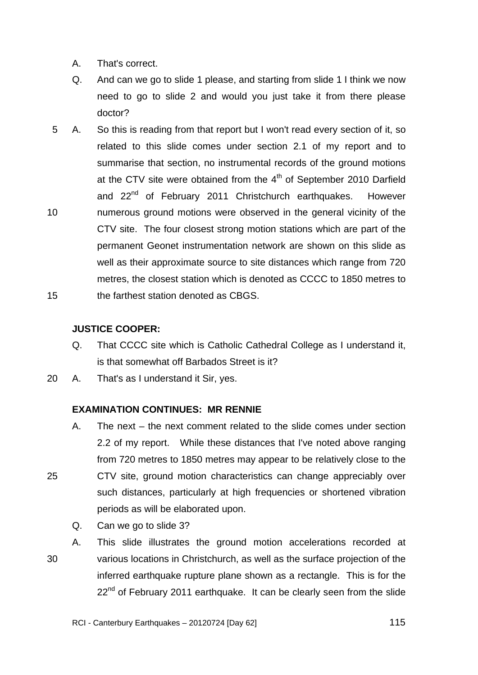- A. That's correct.
- Q. And can we go to slide 1 please, and starting from slide 1 I think we now need to go to slide 2 and would you just take it from there please doctor?
- 10 15 5 A. So this is reading from that report but I won't read every section of it, so related to this slide comes under section 2.1 of my report and to summarise that section, no instrumental records of the ground motions at the CTV site were obtained from the  $4<sup>th</sup>$  of September 2010 Darfield and 22<sup>nd</sup> of February 2011 Christchurch earthquakes. However numerous ground motions were observed in the general vicinity of the CTV site. The four closest strong motion stations which are part of the permanent Geonet instrumentation network are shown on this slide as well as their approximate source to site distances which range from 720 metres, the closest station which is denoted as CCCC to 1850 metres to the farthest station denoted as CBGS.

### **JUSTICE COOPER:**

- Q. That CCCC site which is Catholic Cathedral College as I understand it, is that somewhat off Barbados Street is it?
- 20 A. That's as I understand it Sir, yes.

## **EXAMINATION CONTINUES: MR RENNIE**

- A. The next the next comment related to the slide comes under section 2.2 of my report. While these distances that I've noted above ranging from 720 metres to 1850 metres may appear to be relatively close to the CTV site, ground motion characteristics can change appreciably over such distances, particularly at high frequencies or shortened vibration periods as will be elaborated upon.
	- Q. Can we go to slide 3?

25

30 A. This slide illustrates the ground motion accelerations recorded at various locations in Christchurch, as well as the surface projection of the inferred earthquake rupture plane shown as a rectangle. This is for the 22<sup>nd</sup> of February 2011 earthquake. It can be clearly seen from the slide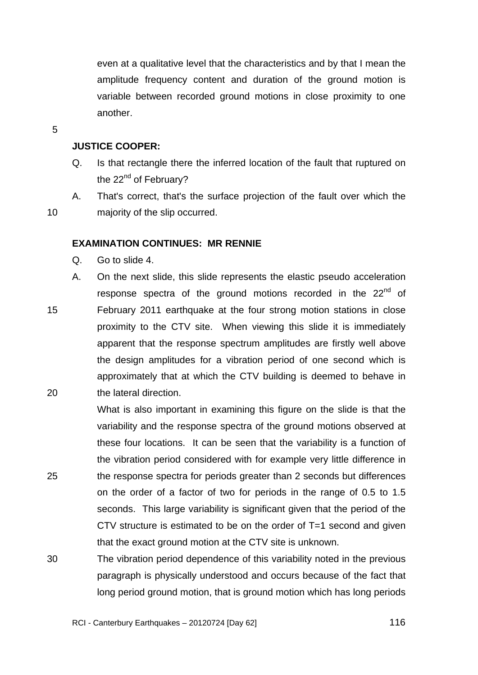even at a qualitative level that the characteristics and by that I mean the amplitude frequency content and duration of the ground motion is variable between recorded ground motions in close proximity to one another.

5

10

25

### **JUSTICE COOPER:**

- Q. Is that rectangle there the inferred location of the fault that ruptured on the  $22<sup>nd</sup>$  of February?
- A. That's correct, that's the surface projection of the fault over which the majority of the slip occurred.

### **EXAMINATION CONTINUES: MR RENNIE**

- Q. Go to slide 4.
- 15 20 A. On the next slide, this slide represents the elastic pseudo acceleration response spectra of the ground motions recorded in the 22<sup>nd</sup> of February 2011 earthquake at the four strong motion stations in close proximity to the CTV site. When viewing this slide it is immediately apparent that the response spectrum amplitudes are firstly well above the design amplitudes for a vibration period of one second which is approximately that at which the CTV building is deemed to behave in the lateral direction.

What is also important in examining this figure on the slide is that the variability and the response spectra of the ground motions observed at these four locations. It can be seen that the variability is a function of the vibration period considered with for example very little difference in the response spectra for periods greater than 2 seconds but differences on the order of a factor of two for periods in the range of 0.5 to 1.5 seconds. This large variability is significant given that the period of the CTV structure is estimated to be on the order of T=1 second and given that the exact ground motion at the CTV site is unknown.

30 The vibration period dependence of this variability noted in the previous paragraph is physically understood and occurs because of the fact that long period ground motion, that is ground motion which has long periods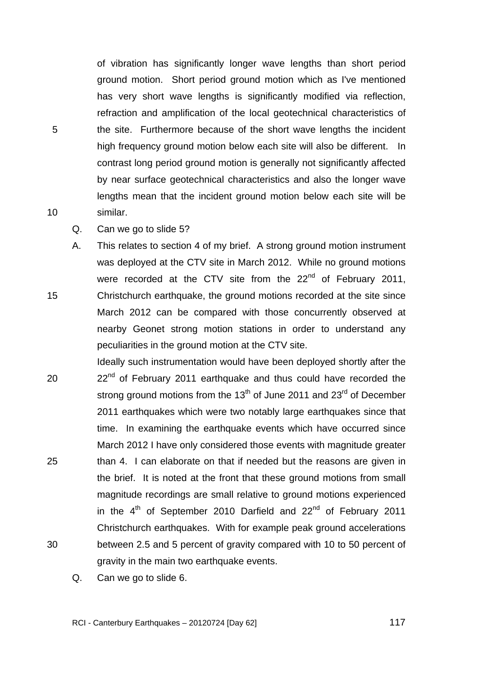of vibration has significantly longer wave lengths than short period ground motion. Short period ground motion which as I've mentioned has very short wave lengths is significantly modified via reflection, refraction and amplification of the local geotechnical characteristics of the site. Furthermore because of the short wave lengths the incident high frequency ground motion below each site will also be different. In contrast long period ground motion is generally not significantly affected by near surface geotechnical characteristics and also the longer wave lengths mean that the incident ground motion below each site will be similar.

Q. Can we go to slide 5?

5

10

15 A. This relates to section 4 of my brief. A strong ground motion instrument was deployed at the CTV site in March 2012. While no ground motions were recorded at the CTV site from the 22<sup>nd</sup> of February 2011, Christchurch earthquake, the ground motions recorded at the site since March 2012 can be compared with those concurrently observed at nearby Geonet strong motion stations in order to understand any peculiarities in the ground motion at the CTV site.

- 20 25 30 Ideally such instrumentation would have been deployed shortly after the 22<sup>nd</sup> of February 2011 earthquake and thus could have recorded the strong ground motions from the  $13<sup>th</sup>$  of June 2011 and 23<sup>rd</sup> of December 2011 earthquakes which were two notably large earthquakes since that time. In examining the earthquake events which have occurred since March 2012 I have only considered those events with magnitude greater than 4. I can elaborate on that if needed but the reasons are given in the brief. It is noted at the front that these ground motions from small magnitude recordings are small relative to ground motions experienced in the  $4<sup>th</sup>$  of September 2010 Darfield and 22<sup>nd</sup> of February 2011 Christchurch earthquakes. With for example peak ground accelerations between 2.5 and 5 percent of gravity compared with 10 to 50 percent of gravity in the main two earthquake events.
	- Q. Can we go to slide 6.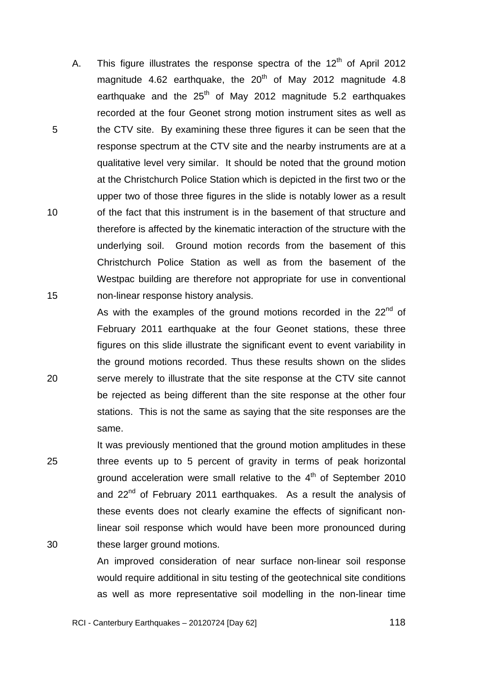A. This figure illustrates the response spectra of the  $12<sup>th</sup>$  of April 2012 magnitude 4.62 earthquake, the  $20<sup>th</sup>$  of May 2012 magnitude 4.8 earthquake and the  $25<sup>th</sup>$  of May 2012 magnitude 5.2 earthquakes recorded at the four Geonet strong motion instrument sites as well as the CTV site. By examining these three figures it can be seen that the response spectrum at the CTV site and the nearby instruments are at a qualitative level very similar. It should be noted that the ground motion at the Christchurch Police Station which is depicted in the first two or the upper two of those three figures in the slide is notably lower as a result of the fact that this instrument is in the basement of that structure and therefore is affected by the kinematic interaction of the structure with the underlying soil. Ground motion records from the basement of this Christchurch Police Station as well as from the basement of the Westpac building are therefore not appropriate for use in conventional non-linear response history analysis.

20

5

10

15

25

30

be rejected as being different than the site response at the other four stations. This is not the same as saying that the site responses are the same. It was previously mentioned that the ground motion amplitudes in these three events up to 5 percent of gravity in terms of peak horizontal ground acceleration were small relative to the  $4<sup>th</sup>$  of September 2010 and 22<sup>nd</sup> of February 2011 earthquakes. As a result the analysis of

As with the examples of the ground motions recorded in the  $22<sup>nd</sup>$  of

February 2011 earthquake at the four Geonet stations, these three

figures on this slide illustrate the significant event to event variability in

the ground motions recorded. Thus these results shown on the slides

serve merely to illustrate that the site response at the CTV site cannot

these events does not clearly examine the effects of significant nonlinear soil response which would have been more pronounced during these larger ground motions.

An improved consideration of near surface non-linear soil response would require additional in situ testing of the geotechnical site conditions as well as more representative soil modelling in the non-linear time

 $\sim$  118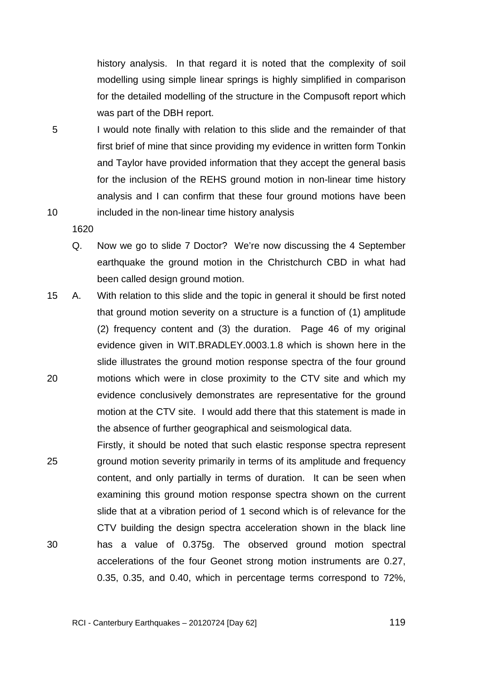history analysis. In that regard it is noted that the complexity of soil modelling using simple linear springs is highly simplified in comparison for the detailed modelling of the structure in the Compusoft report which was part of the DBH report.

5 10 I would note finally with relation to this slide and the remainder of that first brief of mine that since providing my evidence in written form Tonkin and Taylor have provided information that they accept the general basis for the inclusion of the REHS ground motion in non-linear time history analysis and I can confirm that these four ground motions have been included in the non-linear time history analysis

- Q. Now we go to slide 7 Doctor? We're now discussing the 4 September earthquake the ground motion in the Christchurch CBD in what had been called design ground motion.
- 20 15 A. With relation to this slide and the topic in general it should be first noted that ground motion severity on a structure is a function of (1) amplitude (2) frequency content and (3) the duration. Page 46 of my original evidence given in WIT.BRADLEY.0003.1.8 which is shown here in the slide illustrates the ground motion response spectra of the four ground motions which were in close proximity to the CTV site and which my evidence conclusively demonstrates are representative for the ground motion at the CTV site. I would add there that this statement is made in the absence of further geographical and seismological data.
- 25 30 Firstly, it should be noted that such elastic response spectra represent ground motion severity primarily in terms of its amplitude and frequency content, and only partially in terms of duration. It can be seen when examining this ground motion response spectra shown on the current slide that at a vibration period of 1 second which is of relevance for the CTV building the design spectra acceleration shown in the black line has a value of 0.375g. The observed ground motion spectral accelerations of the four Geonet strong motion instruments are 0.27, 0.35, 0.35, and 0.40, which in percentage terms correspond to 72%,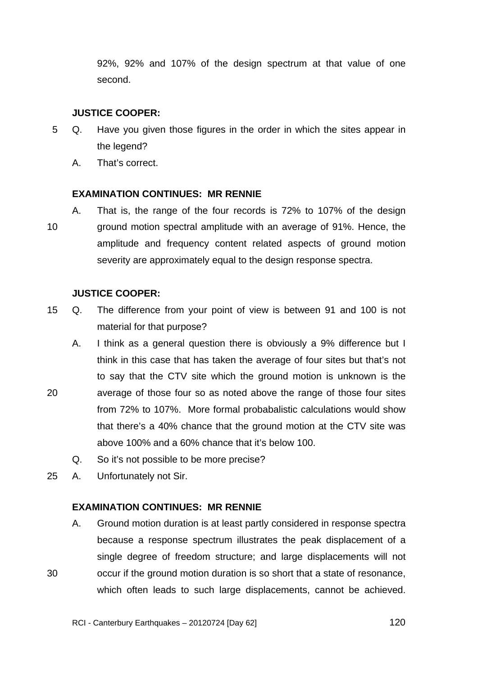92%, 92% and 107% of the design spectrum at that value of one second.

## **JUSTICE COOPER:**

- 5 Q. Have you given those figures in the order in which the sites appear in the legend?
	- A. That's correct.

## **EXAMINATION CONTINUES: MR RENNIE**

10 A. That is, the range of the four records is 72% to 107% of the design ground motion spectral amplitude with an average of 91%. Hence, the amplitude and frequency content related aspects of ground motion severity are approximately equal to the design response spectra.

## **JUSTICE COOPER:**

- 15 Q. The difference from your point of view is between 91 and 100 is not material for that purpose?
- 20 A. I think as a general question there is obviously a 9% difference but I think in this case that has taken the average of four sites but that's not to say that the CTV site which the ground motion is unknown is the average of those four so as noted above the range of those four sites from 72% to 107%. More formal probabalistic calculations would show that there's a 40% chance that the ground motion at the CTV site was above 100% and a 60% chance that it's below 100.
	- Q. So it's not possible to be more precise?
- 25 A. Unfortunately not Sir.

30

# **EXAMINATION CONTINUES: MR RENNIE**

A. Ground motion duration is at least partly considered in response spectra because a response spectrum illustrates the peak displacement of a single degree of freedom structure; and large displacements will not occur if the ground motion duration is so short that a state of resonance, which often leads to such large displacements, cannot be achieved.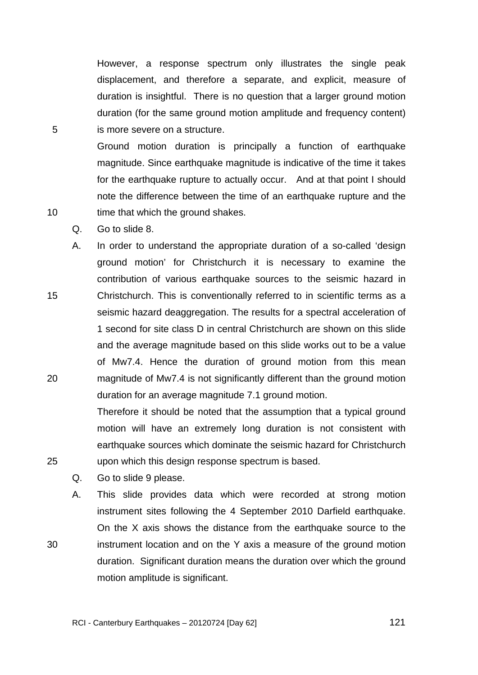However, a response spectrum only illustrates the single peak displacement, and therefore a separate, and explicit, measure of duration is insightful. There is no question that a larger ground motion duration (for the same ground motion amplitude and frequency content) is more severe on a structure.

Ground motion duration is principally a function of earthquake magnitude. Since earthquake magnitude is indicative of the time it takes for the earthquake rupture to actually occur. And at that point I should note the difference between the time of an earthquake rupture and the time that which the ground shakes.

Q. Go to slide 8.

15 20 A. In order to understand the appropriate duration of a so-called 'design ground motion' for Christchurch it is necessary to examine the contribution of various earthquake sources to the seismic hazard in Christchurch. This is conventionally referred to in scientific terms as a seismic hazard deaggregation. The results for a spectral acceleration of 1 second for site class D in central Christchurch are shown on this slide and the average magnitude based on this slide works out to be a value of Mw7.4. Hence the duration of ground motion from this mean magnitude of Mw7.4 is not significantly different than the ground motion duration for an average magnitude 7.1 ground motion.

> Therefore it should be noted that the assumption that a typical ground motion will have an extremely long duration is not consistent with earthquake sources which dominate the seismic hazard for Christchurch upon which this design response spectrum is based.

Q. Go to slide 9 please.

A. This slide provides data which were recorded at strong motion instrument sites following the 4 September 2010 Darfield earthquake. On the X axis shows the distance from the earthquake source to the instrument location and on the Y axis a measure of the ground motion duration. Significant duration means the duration over which the ground motion amplitude is significant.

5

10

25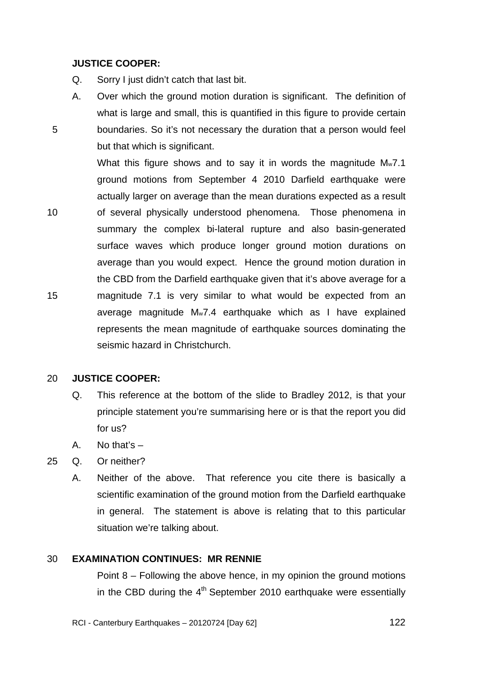### **JUSTICE COOPER:**

5

10

15

- Q. Sorry I just didn't catch that last bit.
- A. Over which the ground motion duration is significant. The definition of what is large and small, this is quantified in this figure to provide certain boundaries. So it's not necessary the duration that a person would feel but that which is significant.

What this figure shows and to say it in words the magnitude Mw7.1 ground motions from September 4 2010 Darfield earthquake were actually larger on average than the mean durations expected as a result of several physically understood phenomena. Those phenomena in summary the complex bi-lateral rupture and also basin-generated surface waves which produce longer ground motion durations on average than you would expect. Hence the ground motion duration in the CBD from the Darfield earthquake given that it's above average for a magnitude 7.1 is very similar to what would be expected from an average magnitude Mw7.4 earthquake which as I have explained represents the mean magnitude of earthquake sources dominating the

#### 20 **JUSTICE COOPER:**

- Q. This reference at the bottom of the slide to Bradley 2012, is that your principle statement you're summarising here or is that the report you did for us?
- A. No that's –
- 25 Q. Or neither?
	- A. Neither of the above. That reference you cite there is basically a scientific examination of the ground motion from the Darfield earthquake in general. The statement is above is relating that to this particular situation we're talking about.

#### 30 **EXAMINATION CONTINUES: MR RENNIE**

seismic hazard in Christchurch.

Point 8 – Following the above hence, in my opinion the ground motions in the CBD during the  $4<sup>th</sup>$  September 2010 earthquake were essentially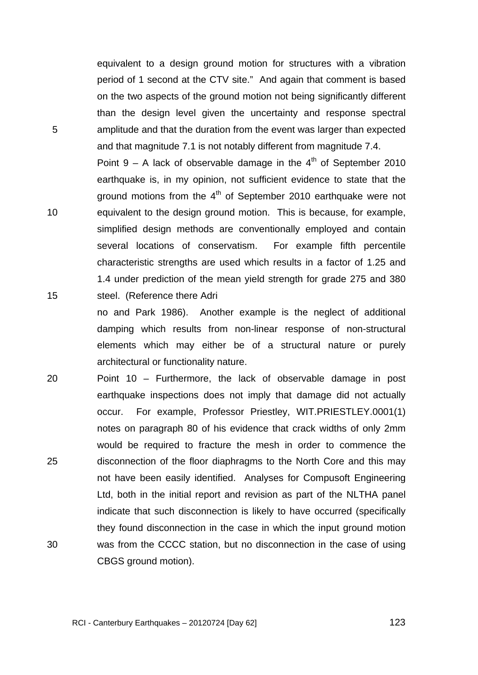TRANS.20120724.123

equivalent to a design ground motion for structures with a vibration period of 1 second at the CTV site." And again that comment is based on the two aspects of the ground motion not being significantly different than the design level given the uncertainty and response spectral amplitude and that the duration from the event was larger than expected and that magnitude 7.1 is not notably different from magnitude 7.4.

5

10

15

Point  $9 - A$  lack of observable damage in the  $4<sup>th</sup>$  of September 2010 earthquake is, in my opinion, not sufficient evidence to state that the ground motions from the  $4<sup>th</sup>$  of September 2010 earthquake were not equivalent to the design ground motion. This is because, for example, simplified design methods are conventionally employed and contain several locations of conservatism. For example fifth percentile characteristic strengths are used which results in a factor of 1.25 and 1.4 under prediction of the mean yield strength for grade 275 and 380 steel. (Reference there Adri

no and Park 1986). Another example is the neglect of additional damping which results from non-linear response of non-structural elements which may either be of a structural nature or purely architectural or functionality nature.

20 25 30 Point 10 – Furthermore, the lack of observable damage in post earthquake inspections does not imply that damage did not actually occur. For example, Professor Priestley, WIT.PRIESTLEY.0001(1) notes on paragraph 80 of his evidence that crack widths of only 2mm would be required to fracture the mesh in order to commence the disconnection of the floor diaphragms to the North Core and this may not have been easily identified. Analyses for Compusoft Engineering Ltd, both in the initial report and revision as part of the NLTHA panel indicate that such disconnection is likely to have occurred (specifically they found disconnection in the case in which the input ground motion was from the CCCC station, but no disconnection in the case of using CBGS ground motion).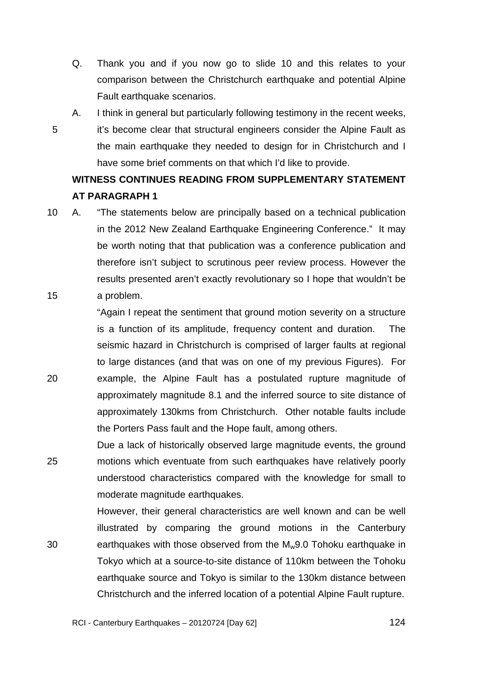- Q. Thank you and if you now go to slide 10 and this relates to your comparison between the Christchurch earthquake and potential Alpine Fault earthquake scenarios.
- A. I think in general but particularly following testimony in the recent weeks, it's become clear that structural engineers consider the Alpine Fault as the main earthquake they needed to design for in Christchurch and I have some brief comments on that which I'd like to provide.

5

20

# **WITNESS CONTINUES READING FROM SUPPLEMENTARY STATEMENT AT PARAGRAPH 1**

15 10 A. "The statements below are principally based on a technical publication in the 2012 New Zealand Earthquake Engineering Conference." It may be worth noting that that publication was a conference publication and therefore isn't subject to scrutinous peer review process. However the results presented aren't exactly revolutionary so I hope that wouldn't be a problem.

"Again I repeat the sentiment that ground motion severity on a structure is a function of its amplitude, frequency content and duration. The seismic hazard in Christchurch is comprised of larger faults at regional to large distances (and that was on one of my previous Figures). For example, the Alpine Fault has a postulated rupture magnitude of approximately magnitude 8.1 and the inferred source to site distance of approximately 130kms from Christchurch. Other notable faults include the Porters Pass fault and the Hope fault, among others.

25 Due a lack of historically observed large magnitude events, the ground motions which eventuate from such earthquakes have relatively poorly understood characteristics compared with the knowledge for small to moderate magnitude earthquakes.

30 However, their general characteristics are well known and can be well illustrated by comparing the ground motions in the Canterbury earthquakes with those observed from the M<sub>w</sub>9.0 Tohoku earthquake in Tokyo which at a source-to-site distance of 110km between the Tohoku earthquake source and Tokyo is similar to the 130km distance between Christchurch and the inferred location of a potential Alpine Fault rupture.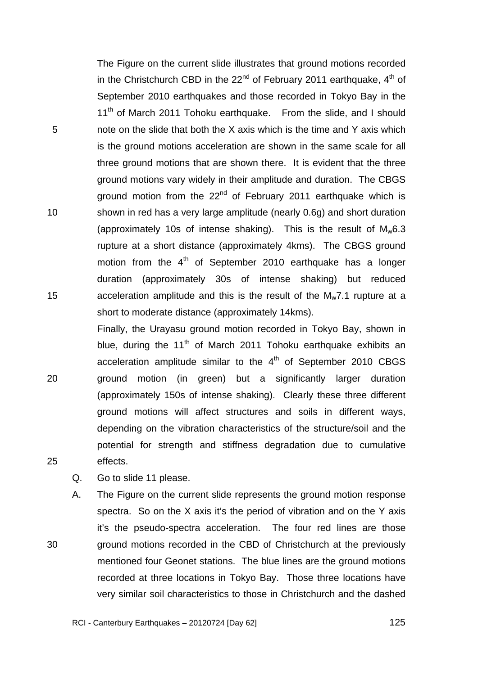The Figure on the current slide illustrates that ground motions recorded in the Christchurch CBD in the  $22<sup>nd</sup>$  of February 2011 earthquake,  $4<sup>th</sup>$  of September 2010 earthquakes and those recorded in Tokyo Bay in the 11<sup>th</sup> of March 2011 Tohoku earthquake. From the slide, and I should note on the slide that both the X axis which is the time and Y axis which is the ground motions acceleration are shown in the same scale for all three ground motions that are shown there. It is evident that the three ground motions vary widely in their amplitude and duration. The CBGS ground motion from the 22<sup>nd</sup> of February 2011 earthquake which is shown in red has a very large amplitude (nearly 0.6g) and short duration (approximately 10s of intense shaking). This is the result of  $M_w6.3$ rupture at a short distance (approximately 4kms). The CBGS ground motion from the  $4<sup>th</sup>$  of September 2010 earthquake has a longer duration (approximately 30s of intense shaking) but reduced acceleration amplitude and this is the result of the  $M_w$ 7.1 rupture at a short to moderate distance (approximately 14kms).

20 Finally, the Urayasu ground motion recorded in Tokyo Bay, shown in blue, during the  $11<sup>th</sup>$  of March 2011 Tohoku earthquake exhibits an acceleration amplitude similar to the  $4<sup>th</sup>$  of September 2010 CBGS ground motion (in green) but a significantly larger duration (approximately 150s of intense shaking). Clearly these three different ground motions will affect structures and soils in different ways, depending on the vibration characteristics of the structure/soil and the potential for strength and stiffness degradation due to cumulative effects.

Q. Go to slide 11 please.

A. The Figure on the current slide represents the ground motion response spectra. So on the X axis it's the period of vibration and on the Y axis it's the pseudo-spectra acceleration. The four red lines are those ground motions recorded in the CBD of Christchurch at the previously mentioned four Geonet stations. The blue lines are the ground motions recorded at three locations in Tokyo Bay. Those three locations have very similar soil characteristics to those in Christchurch and the dashed

25

30

5

10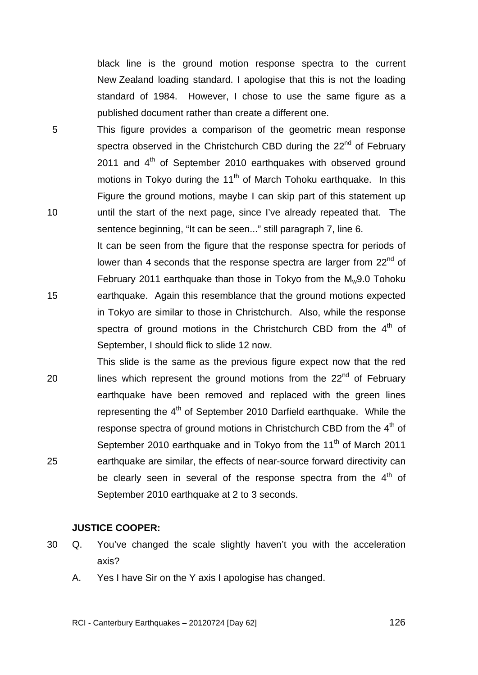TRANS.20120724.126

black line is the ground motion response spectra to the current New Zealand loading standard. I apologise that this is not the loading standard of 1984. However, I chose to use the same figure as a published document rather than create a different one.

5 10 This figure provides a comparison of the geometric mean response spectra observed in the Christchurch CBD during the 22<sup>nd</sup> of February 2011 and  $4<sup>th</sup>$  of September 2010 earthquakes with observed ground motions in Tokyo during the  $11<sup>th</sup>$  of March Tohoku earthquake. In this Figure the ground motions, maybe I can skip part of this statement up until the start of the next page, since I've already repeated that. The sentence beginning, "It can be seen..." still paragraph 7, line 6.

It can be seen from the figure that the response spectra for periods of lower than 4 seconds that the response spectra are larger from 22<sup>nd</sup> of February 2011 earthquake than those in Tokyo from the Mw9.0 Tohoku earthquake. Again this resemblance that the ground motions expected in Tokyo are similar to those in Christchurch. Also, while the response spectra of ground motions in the Christchurch CBD from the  $4<sup>th</sup>$  of September, I should flick to slide 12 now.

20 25 This slide is the same as the previous figure expect now that the red lines which represent the ground motions from the  $22<sup>nd</sup>$  of February earthquake have been removed and replaced with the green lines representing the  $4<sup>th</sup>$  of September 2010 Darfield earthquake. While the response spectra of ground motions in Christchurch CBD from the 4<sup>th</sup> of September 2010 earthquake and in Tokyo from the  $11<sup>th</sup>$  of March 2011 earthquake are similar, the effects of near-source forward directivity can be clearly seen in several of the response spectra from the  $4<sup>th</sup>$  of September 2010 earthquake at 2 to 3 seconds.

## **JUSTICE COOPER:**

- 30 Q. You've changed the scale slightly haven't you with the acceleration axis?
	- A. Yes I have Sir on the Y axis I apologise has changed.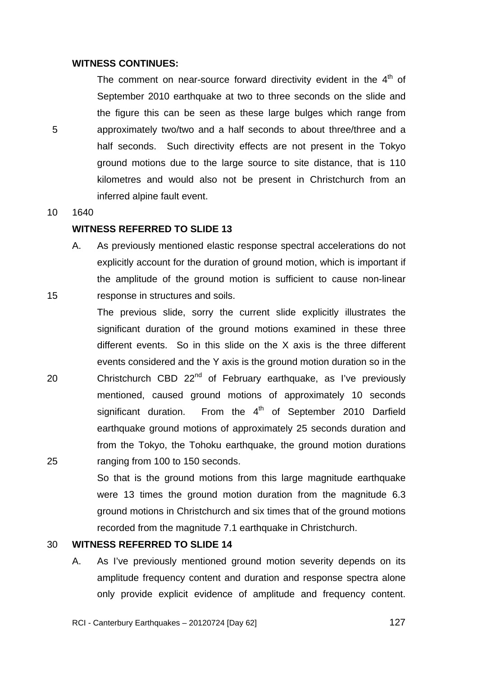### **WITNESS CONTINUES:**

The comment on near-source forward directivity evident in the  $4<sup>th</sup>$  of September 2010 earthquake at two to three seconds on the slide and the figure this can be seen as these large bulges which range from approximately two/two and a half seconds to about three/three and a half seconds. Such directivity effects are not present in the Tokyo ground motions due to the large source to site distance, that is 110 kilometres and would also not be present in Christchurch from an inferred alpine fault event.

10 1640

15

5

### **WITNESS REFERRED TO SLIDE 13**

A. As previously mentioned elastic response spectral accelerations do not explicitly account for the duration of ground motion, which is important if the amplitude of the ground motion is sufficient to cause non-linear response in structures and soils.

20 25 The previous slide, sorry the current slide explicitly illustrates the significant duration of the ground motions examined in these three different events. So in this slide on the X axis is the three different events considered and the Y axis is the ground motion duration so in the Christchurch CBD  $22^{nd}$  of February earthquake, as I've previously mentioned, caused ground motions of approximately 10 seconds significant duration. From the  $4<sup>th</sup>$  of September 2010 Darfield earthquake ground motions of approximately 25 seconds duration and from the Tokyo, the Tohoku earthquake, the ground motion durations ranging from 100 to 150 seconds.

> So that is the ground motions from this large magnitude earthquake were 13 times the ground motion duration from the magnitude 6.3 ground motions in Christchurch and six times that of the ground motions recorded from the magnitude 7.1 earthquake in Christchurch.

#### 30 **WITNESS REFERRED TO SLIDE 14**

A. As I've previously mentioned ground motion severity depends on its amplitude frequency content and duration and response spectra alone only provide explicit evidence of amplitude and frequency content.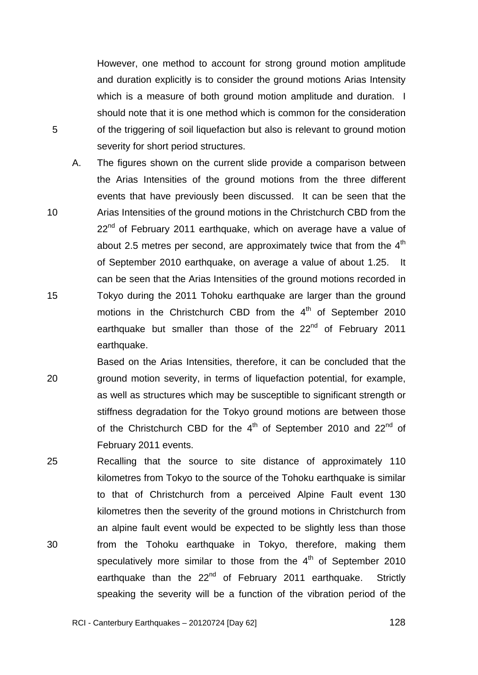However, one method to account for strong ground motion amplitude and duration explicitly is to consider the ground motions Arias Intensity which is a measure of both ground motion amplitude and duration. I should note that it is one method which is common for the consideration of the triggering of soil liquefaction but also is relevant to ground motion severity for short period structures.

5

10

15

A. The figures shown on the current slide provide a comparison between the Arias Intensities of the ground motions from the three different events that have previously been discussed. It can be seen that the Arias Intensities of the ground motions in the Christchurch CBD from the  $22<sup>nd</sup>$  of February 2011 earthquake, which on average have a value of about 2.5 metres per second, are approximately twice that from the  $4<sup>th</sup>$ of September 2010 earthquake, on average a value of about 1.25. It can be seen that the Arias Intensities of the ground motions recorded in Tokyo during the 2011 Tohoku earthquake are larger than the ground motions in the Christchurch CBD from the  $4<sup>th</sup>$  of September 2010 earthquake but smaller than those of the 22<sup>nd</sup> of February 2011 earthquake.

20 Based on the Arias Intensities, therefore, it can be concluded that the ground motion severity, in terms of liquefaction potential, for example, as well as structures which may be susceptible to significant strength or stiffness degradation for the Tokyo ground motions are between those of the Christchurch CBD for the  $4<sup>th</sup>$  of September 2010 and 22<sup>nd</sup> of February 2011 events.

25 30 Recalling that the source to site distance of approximately 110 kilometres from Tokyo to the source of the Tohoku earthquake is similar to that of Christchurch from a perceived Alpine Fault event 130 kilometres then the severity of the ground motions in Christchurch from an alpine fault event would be expected to be slightly less than those from the Tohoku earthquake in Tokyo, therefore, making them speculatively more similar to those from the  $4<sup>th</sup>$  of September 2010 earthquake than the 22<sup>nd</sup> of February 2011 earthquake. Strictly speaking the severity will be a function of the vibration period of the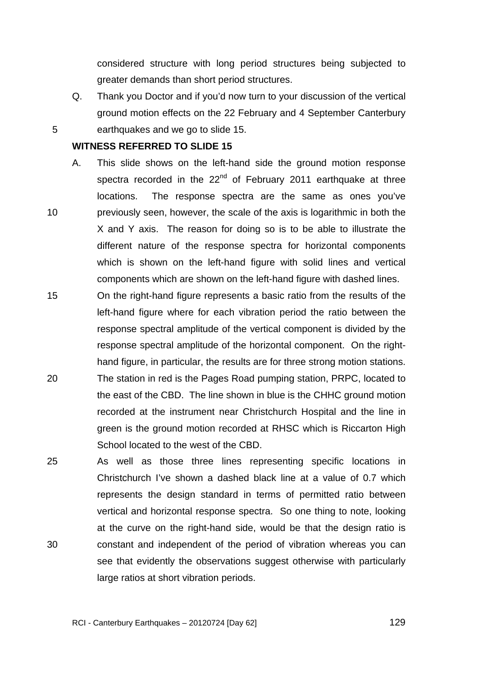considered structure with long period structures being subjected to greater demands than short period structures.

Q. Thank you Doctor and if you'd now turn to your discussion of the vertical ground motion effects on the 22 February and 4 September Canterbury earthquakes and we go to slide 15.

### **WITNESS REFERRED TO SLIDE 15**

5

10

- A. This slide shows on the left-hand side the ground motion response spectra recorded in the  $22<sup>nd</sup>$  of February 2011 earthquake at three locations. The response spectra are the same as ones you've previously seen, however, the scale of the axis is logarithmic in both the X and Y axis. The reason for doing so is to be able to illustrate the different nature of the response spectra for horizontal components which is shown on the left-hand figure with solid lines and vertical components which are shown on the left-hand figure with dashed lines.
- 15 20 On the right-hand figure represents a basic ratio from the results of the left-hand figure where for each vibration period the ratio between the response spectral amplitude of the vertical component is divided by the response spectral amplitude of the horizontal component. On the righthand figure, in particular, the results are for three strong motion stations. The station in red is the Pages Road pumping station, PRPC, located to the east of the CBD. The line shown in blue is the CHHC ground motion recorded at the instrument near Christchurch Hospital and the line in green is the ground motion recorded at RHSC which is Riccarton High
- 25 30 As well as those three lines representing specific locations in Christchurch I've shown a dashed black line at a value of 0.7 which represents the design standard in terms of permitted ratio between vertical and horizontal response spectra. So one thing to note, looking at the curve on the right-hand side, would be that the design ratio is constant and independent of the period of vibration whereas you can see that evidently the observations suggest otherwise with particularly large ratios at short vibration periods.

School located to the west of the CBD.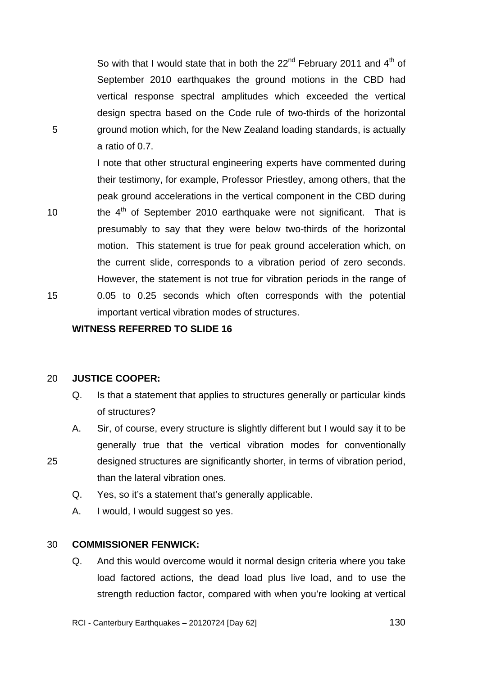So with that I would state that in both the  $22<sup>nd</sup>$  February 2011 and  $4<sup>th</sup>$  of September 2010 earthquakes the ground motions in the CBD had vertical response spectral amplitudes which exceeded the vertical design spectra based on the Code rule of two-thirds of the horizontal ground motion which, for the New Zealand loading standards, is actually a ratio of 0.7.

I note that other structural engineering experts have commented during their testimony, for example, Professor Priestley, among others, that the peak ground accelerations in the vertical component in the CBD during the  $4<sup>th</sup>$  of September 2010 earthquake were not significant. That is presumably to say that they were below two-thirds of the horizontal motion. This statement is true for peak ground acceleration which, on the current slide, corresponds to a vibration period of zero seconds. However, the statement is not true for vibration periods in the range of 0.05 to 0.25 seconds which often corresponds with the potential important vertical vibration modes of structures.

**WITNESS REFERRED TO SLIDE 16** 

#### 20 **JUSTICE COOPER:**

5

10

15

25

- Q. Is that a statement that applies to structures generally or particular kinds of structures?
- A. Sir, of course, every structure is slightly different but I would say it to be generally true that the vertical vibration modes for conventionally designed structures are significantly shorter, in terms of vibration period, than the lateral vibration ones.
	- Q. Yes, so it's a statement that's generally applicable.
	- A. I would, I would suggest so yes.

#### 30 **COMMISSIONER FENWICK:**

Q. And this would overcome would it normal design criteria where you take load factored actions, the dead load plus live load, and to use the strength reduction factor, compared with when you're looking at vertical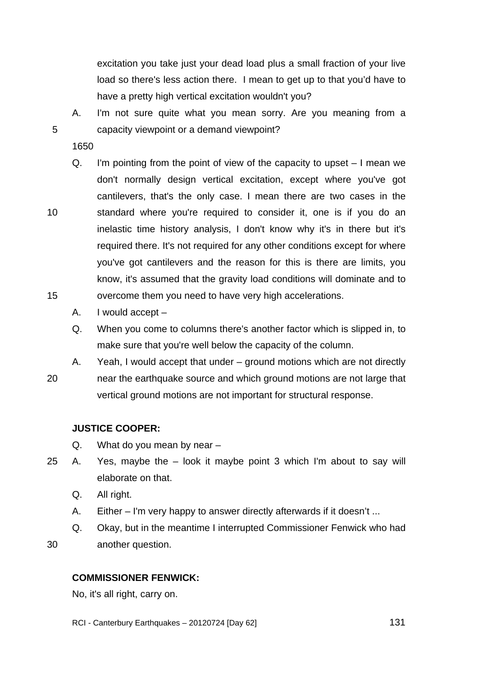excitation you take just your dead load plus a small fraction of your live load so there's less action there. I mean to get up to that you'd have to have a pretty high vertical excitation wouldn't you?

A. I'm not sure quite what you mean sorry. Are you meaning from a capacity viewpoint or a demand viewpoint?

1650

5

10

15

- Q. I'm pointing from the point of view of the capacity to upset I mean we don't normally design vertical excitation, except where you've got cantilevers, that's the only case. I mean there are two cases in the standard where you're required to consider it, one is if you do an inelastic time history analysis, I don't know why it's in there but it's required there. It's not required for any other conditions except for where you've got cantilevers and the reason for this is there are limits, you know, it's assumed that the gravity load conditions will dominate and to overcome them you need to have very high accelerations.
	- A. I would accept –
	- Q. When you come to columns there's another factor which is slipped in, to make sure that you're well below the capacity of the column.

20 A. Yeah, I would accept that under – ground motions which are not directly near the earthquake source and which ground motions are not large that vertical ground motions are not important for structural response.

## **JUSTICE COOPER:**

- Q. What do you mean by near –
- 25 A. Yes, maybe the look it maybe point 3 which I'm about to say will elaborate on that.
	- Q. All right.
	- A. Either I'm very happy to answer directly afterwards if it doesn't ...
	- Q. Okay, but in the meantime I interrupted Commissioner Fenwick who had
- 30 another question.

## **COMMISSIONER FENWICK:**

No, it's all right, carry on.

RCI - Canterbury Earthquakes – 20120724 [Day 62]

131 - **131 - 131 - 131 - 131 - 131**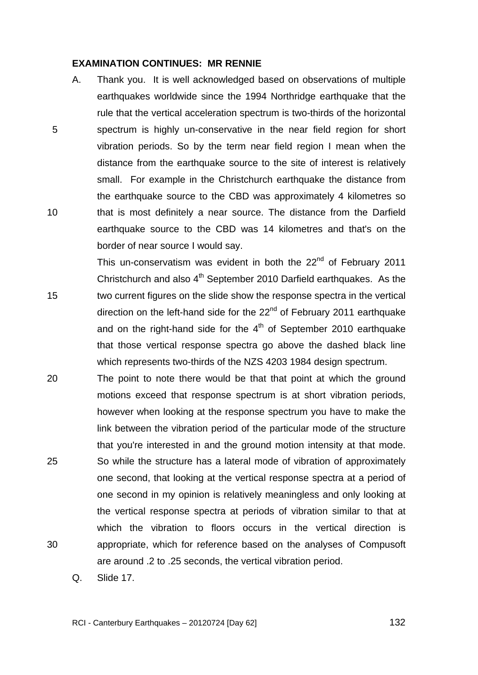### **EXAMINATION CONTINUES: MR RENNIE**

5

10

15

A. Thank you. It is well acknowledged based on observations of multiple earthquakes worldwide since the 1994 Northridge earthquake that the rule that the vertical acceleration spectrum is two-thirds of the horizontal spectrum is highly un-conservative in the near field region for short vibration periods. So by the term near field region I mean when the distance from the earthquake source to the site of interest is relatively small. For example in the Christchurch earthquake the distance from the earthquake source to the CBD was approximately 4 kilometres so that is most definitely a near source. The distance from the Darfield earthquake source to the CBD was 14 kilometres and that's on the border of near source I would say.

This un-conservatism was evident in both the  $22<sup>nd</sup>$  of February 2011 Christchurch and also  $4<sup>th</sup>$  September 2010 Darfield earthquakes. As the two current figures on the slide show the response spectra in the vertical direction on the left-hand side for the  $22<sup>nd</sup>$  of February 2011 earthquake and on the right-hand side for the  $4<sup>th</sup>$  of September 2010 earthquake that those vertical response spectra go above the dashed black line which represents two-thirds of the NZS 4203 1984 design spectrum.

20 25 30 The point to note there would be that that point at which the ground motions exceed that response spectrum is at short vibration periods, however when looking at the response spectrum you have to make the link between the vibration period of the particular mode of the structure that you're interested in and the ground motion intensity at that mode. So while the structure has a lateral mode of vibration of approximately one second, that looking at the vertical response spectra at a period of one second in my opinion is relatively meaningless and only looking at the vertical response spectra at periods of vibration similar to that at which the vibration to floors occurs in the vertical direction is appropriate, which for reference based on the analyses of Compusoft are around .2 to .25 seconds, the vertical vibration period.

Q. Slide 17.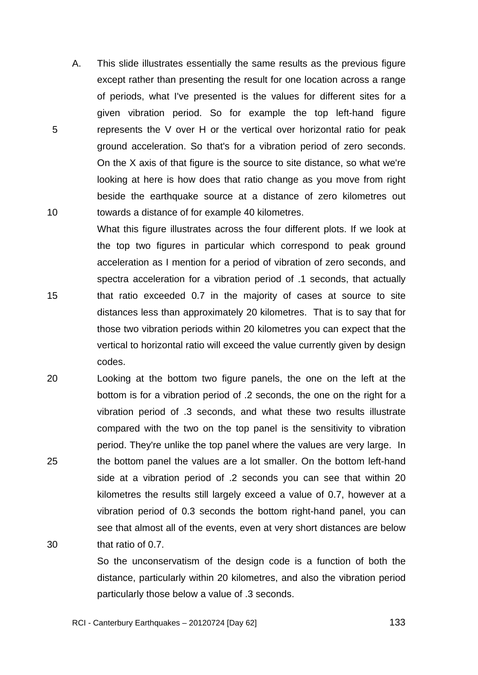A. This slide illustrates essentially the same results as the previous figure except rather than presenting the result for one location across a range of periods, what I've presented is the values for different sites for a given vibration period. So for example the top left-hand figure represents the V over H or the vertical over horizontal ratio for peak ground acceleration. So that's for a vibration period of zero seconds. On the X axis of that figure is the source to site distance, so what we're looking at here is how does that ratio change as you move from right beside the earthquake source at a distance of zero kilometres out towards a distance of for example 40 kilometres.

5

10

- 15 What this figure illustrates across the four different plots. If we look at the top two figures in particular which correspond to peak ground acceleration as I mention for a period of vibration of zero seconds, and spectra acceleration for a vibration period of .1 seconds, that actually that ratio exceeded 0.7 in the majority of cases at source to site distances less than approximately 20 kilometres. That is to say that for those two vibration periods within 20 kilometres you can expect that the vertical to horizontal ratio will exceed the value currently given by design codes.
- 20 25 30 Looking at the bottom two figure panels, the one on the left at the bottom is for a vibration period of .2 seconds, the one on the right for a vibration period of .3 seconds, and what these two results illustrate compared with the two on the top panel is the sensitivity to vibration period. They're unlike the top panel where the values are very large. In the bottom panel the values are a lot smaller. On the bottom left-hand side at a vibration period of .2 seconds you can see that within 20 kilometres the results still largely exceed a value of 0.7, however at a vibration period of 0.3 seconds the bottom right-hand panel, you can see that almost all of the events, even at very short distances are below that ratio of 0.7.

So the unconservatism of the design code is a function of both the distance, particularly within 20 kilometres, and also the vibration period particularly those below a value of .3 seconds.

RCI - Canterbury Earthquakes – 20120724 [Day 62]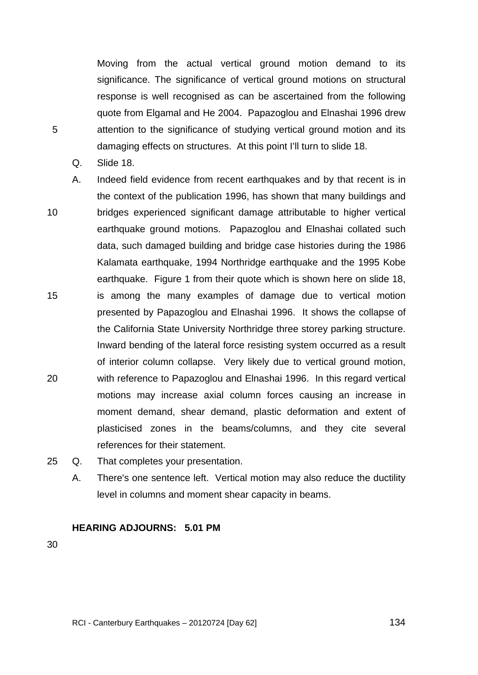Moving from the actual vertical ground motion demand to its significance. The significance of vertical ground motions on structural response is well recognised as can be ascertained from the following quote from Elgamal and He 2004. Papazoglou and Elnashai 1996 drew attention to the significance of studying vertical ground motion and its damaging effects on structures. At this point I'll turn to slide 18.

Q. Slide 18.

5

- 10 15 20 A. Indeed field evidence from recent earthquakes and by that recent is in the context of the publication 1996, has shown that many buildings and bridges experienced significant damage attributable to higher vertical earthquake ground motions. Papazoglou and Elnashai collated such data, such damaged building and bridge case histories during the 1986 Kalamata earthquake, 1994 Northridge earthquake and the 1995 Kobe earthquake. Figure 1 from their quote which is shown here on slide 18, is among the many examples of damage due to vertical motion presented by Papazoglou and Elnashai 1996. It shows the collapse of the California State University Northridge three storey parking structure. Inward bending of the lateral force resisting system occurred as a result of interior column collapse. Very likely due to vertical ground motion, with reference to Papazoglou and Elnashai 1996. In this regard vertical motions may increase axial column forces causing an increase in moment demand, shear demand, plastic deformation and extent of plasticised zones in the beams/columns, and they cite several references for their statement.
- 25 Q. That completes your presentation.
	- A. There's one sentence left. Vertical motion may also reduce the ductility level in columns and moment shear capacity in beams.

### **HEARING ADJOURNS: 5.01 PM**